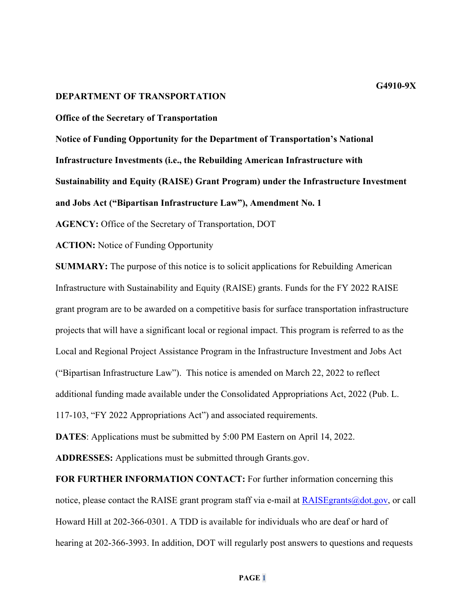#### **DEPARTMENT OF TRANSPORTATION**

**Office of the Secretary of Transportation**

**Notice of Funding Opportunity for the Department of Transportation's National Infrastructure Investments (i.e., the Rebuilding American Infrastructure with Sustainability and Equity (RAISE) Grant Program) under the Infrastructure Investment and Jobs Act ("Bipartisan Infrastructure Law"), Amendment No. 1**

**AGENCY:** Office of the Secretary of Transportation, DOT

**ACTION:** Notice of Funding Opportunity

**SUMMARY:** The purpose of this notice is to solicit applications for Rebuilding American Infrastructure with Sustainability and Equity (RAISE) grants. Funds for the FY 2022 RAISE grant program are to be awarded on a competitive basis for surface transportation infrastructure projects that will have a significant local or regional impact. This program is referred to as the Local and Regional Project Assistance Program in the Infrastructure Investment and Jobs Act ("Bipartisan Infrastructure Law"). This notice is amended on March 22, 2022 to reflect additional funding made available under the Consolidated Appropriations Act, 2022 (Pub. L. 117-103, "FY 2022 Appropriations Act") and associated requirements.

**DATES**: Applications must be submitted by 5:00 PM Eastern on April 14, 2022.

**ADDRESSES:** Applications must be submitted through Grants.gov.

**FOR FURTHER INFORMATION CONTACT:** For further information concerning this notice, please contact the RAISE grant program staff via e-mail at  $R$ AISE grants $@dot.gov,$  or call Howard Hill at 202-366-0301. A TDD is available for individuals who are deaf or hard of hearing at 202-366-3993. In addition, DOT will regularly post answers to questions and requests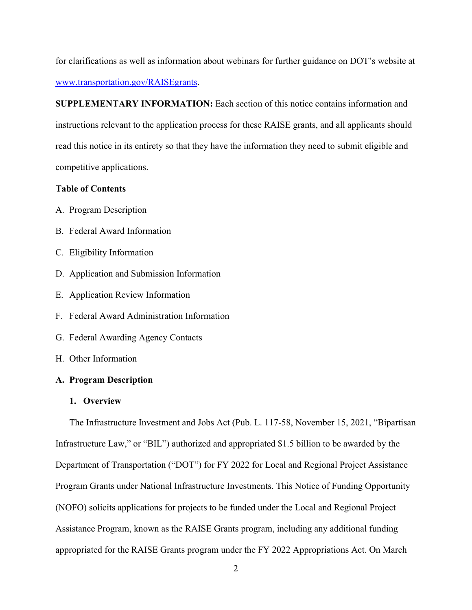for clarifications as well as information about webinars for further guidance on DOT's website at [www.transportation.gov/RAISEgrants.](http://www.transportation.gov/BUILDgrants)

**SUPPLEMENTARY INFORMATION:** Each section of this notice contains information and instructions relevant to the application process for these RAISE grants, and all applicants should read this notice in its entirety so that they have the information they need to submit eligible and competitive applications.

# **Table of Contents**

- A. Program Description
- B. Federal Award Information
- C. Eligibility Information
- D. Application and Submission Information
- E. Application Review Information
- F. Federal Award Administration Information
- G. Federal Awarding Agency Contacts
- H. Other Information

#### **A. Program Description**

#### **1. Overview**

The Infrastructure Investment and Jobs Act (Pub. L. 117-58, November 15, 2021, "Bipartisan Infrastructure Law," or "BIL") authorized and appropriated \$1.5 billion to be awarded by the Department of Transportation ("DOT") for FY 2022 for Local and Regional Project Assistance Program Grants under National Infrastructure Investments. This Notice of Funding Opportunity (NOFO) solicits applications for projects to be funded under the Local and Regional Project Assistance Program, known as the RAISE Grants program, including any additional funding appropriated for the RAISE Grants program under the FY 2022 Appropriations Act. On March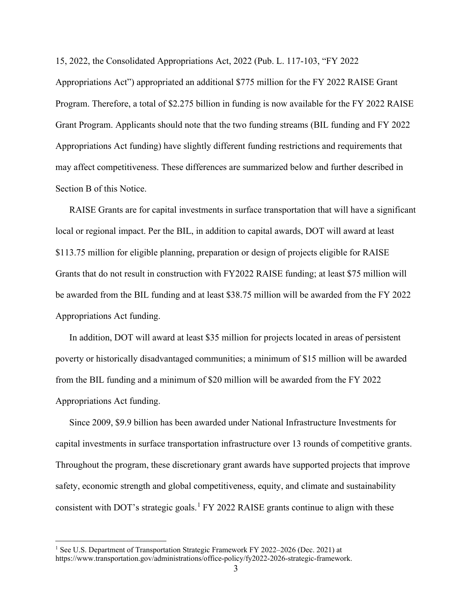15, 2022, the Consolidated Appropriations Act, 2022 (Pub. L. 117-103, "FY 2022

Appropriations Act") appropriated an additional \$775 million for the FY 2022 RAISE Grant Program. Therefore, a total of \$2.275 billion in funding is now available for the FY 2022 RAISE Grant Program. Applicants should note that the two funding streams (BIL funding and FY 2022 Appropriations Act funding) have slightly different funding restrictions and requirements that may affect competitiveness. These differences are summarized below and further described in Section B of this Notice.

RAISE Grants are for capital investments in surface transportation that will have a significant local or regional impact. Per the BIL, in addition to capital awards, DOT will award at least \$113.75 million for eligible planning, preparation or design of projects eligible for RAISE Grants that do not result in construction with FY2022 RAISE funding; at least \$75 million will be awarded from the BIL funding and at least \$38.75 million will be awarded from the FY 2022 Appropriations Act funding.

In addition, DOT will award at least \$35 million for projects located in areas of persistent poverty or historically disadvantaged communities; a minimum of \$15 million will be awarded from the BIL funding and a minimum of \$20 million will be awarded from the FY 2022 Appropriations Act funding.

Since 2009, \$9.9 billion has been awarded under National Infrastructure Investments for capital investments in surface transportation infrastructure over 13 rounds of competitive grants. Throughout the program, these discretionary grant awards have supported projects that improve safety, economic strength and global competitiveness, equity, and climate and sustainability consistent with DOT's strategic goals.<sup>[1](#page-2-0)</sup> FY 2022 RAISE grants continue to align with these

<span id="page-2-0"></span><sup>&</sup>lt;sup>1</sup> See U.S. Department of Transportation Strategic Framework FY 2022-2026 (Dec. 2021) at https://www.transportation.gov/administrations/office-policy/fy2022-2026-strategic-framework.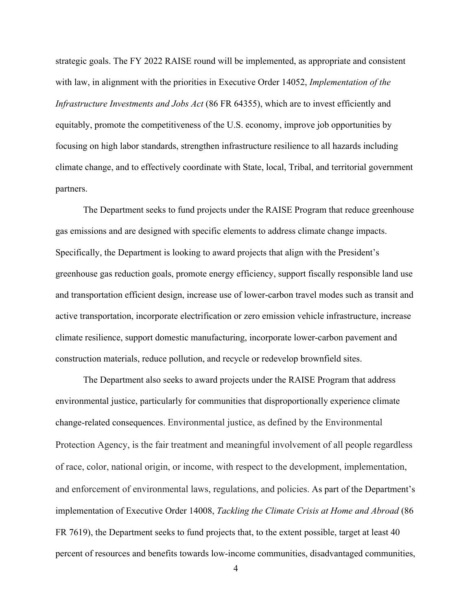strategic goals. The FY 2022 RAISE round will be implemented, as appropriate and consistent with law, in alignment with the priorities in Executive Order 14052, *Implementation of the Infrastructure Investments and Jobs Act* (86 FR 64355), which are to invest efficiently and equitably, promote the competitiveness of the U.S. economy, improve job opportunities by focusing on high labor standards, strengthen infrastructure resilience to all hazards including climate change, and to effectively coordinate with State, local, Tribal, and territorial government partners.

The Department seeks to fund projects under the RAISE Program that reduce greenhouse gas emissions and are designed with specific elements to address climate change impacts. Specifically, the Department is looking to award projects that align with the President's greenhouse gas reduction goals, promote energy efficiency, support fiscally responsible land use and transportation efficient design, increase use of lower-carbon travel modes such as transit and active transportation, incorporate electrification or zero emission vehicle infrastructure, increase climate resilience, support domestic manufacturing, incorporate lower-carbon pavement and construction materials, reduce pollution, and recycle or redevelop brownfield sites.

The Department also seeks to award projects under the RAISE Program that address environmental justice, particularly for communities that disproportionally experience climate change-related consequences. Environmental justice, as defined by the Environmental Protection Agency, is the fair treatment and meaningful involvement of all people regardless of race, color, national origin, or income, with respect to the development, implementation, and enforcement of environmental laws, regulations, and policies. As part of the Department's implementation of Executive Order 14008, *Tackling the Climate Crisis at Home and Abroad* (86 FR 7619), the Department seeks to fund projects that, to the extent possible, target at least 40 percent of resources and benefits towards low-income communities, disadvantaged communities,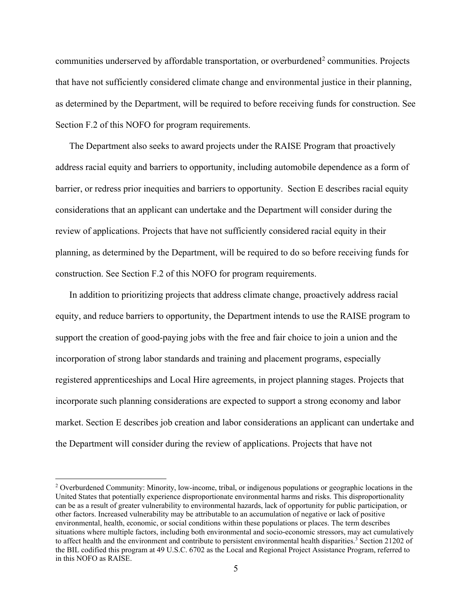communities underserved by affordable transportation, or overburdened<sup>[2](#page-4-0)</sup> communities. Projects that have not sufficiently considered climate change and environmental justice in their planning, as determined by the Department, will be required to before receiving funds for construction. See Section F.2 of this NOFO for program requirements.

The Department also seeks to award projects under the RAISE Program that proactively address racial equity and barriers to opportunity, including automobile dependence as a form of barrier, or redress prior inequities and barriers to opportunity. Section E describes racial equity considerations that an applicant can undertake and the Department will consider during the review of applications. Projects that have not sufficiently considered racial equity in their planning, as determined by the Department, will be required to do so before receiving funds for construction. See Section F.2 of this NOFO for program requirements.

In addition to prioritizing projects that address climate change, proactively address racial equity, and reduce barriers to opportunity, the Department intends to use the RAISE program to support the creation of good-paying jobs with the free and fair choice to join a union and the incorporation of strong labor standards and training and placement programs, especially registered apprenticeships and Local Hire agreements, in project planning stages. Projects that incorporate such planning considerations are expected to support a strong economy and labor market. Section E describes job creation and labor considerations an applicant can undertake and the Department will consider during the review of applications. Projects that have not

<span id="page-4-0"></span><sup>2</sup> Overburdened Community: Minority, low-income, tribal, or indigenous populations or geographic locations in the United States that potentially experience disproportionate environmental harms and risks. This disproportionality can be as a result of greater vulnerability to environmental hazards, lack of opportunity for public participation, or other factors. Increased vulnerability may be attributable to an accumulation of negative or lack of positive environmental, health, economic, or social conditions within these populations or places. The term describes situations where multiple factors, including both environmental and socio-economic stressors, may act cumulatively to affect health and the environment and contribute to persistent environmental health disparities.<sup>3</sup> Section 21202 of the BIL codified this program at 49 U.S.C. 6702 as the Local and Regional Project Assistance Program, referred to in this NOFO as RAISE.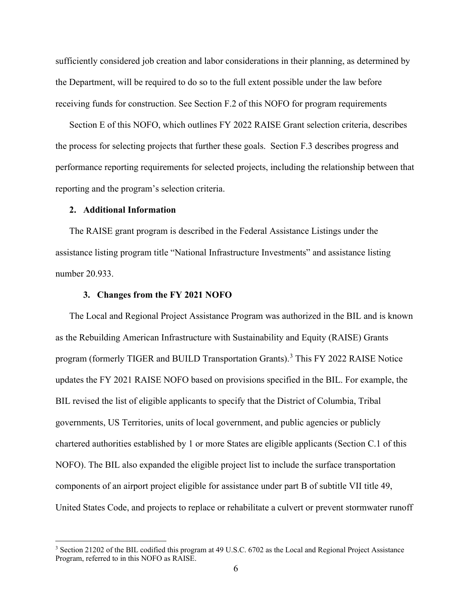sufficiently considered job creation and labor considerations in their planning, as determined by the Department, will be required to do so to the full extent possible under the law before receiving funds for construction. See Section F.2 of this NOFO for program requirements

Section E of this NOFO, which outlines FY 2022 RAISE Grant selection criteria, describes the process for selecting projects that further these goals. Section F.3 describes progress and performance reporting requirements for selected projects, including the relationship between that reporting and the program's selection criteria.

#### **2. Additional Information**

The RAISE grant program is described in the Federal Assistance Listings under the assistance listing program title "National Infrastructure Investments" and assistance listing number 20.933.

#### **3. Changes from the FY 2021 NOFO**

The Local and Regional Project Assistance Program was authorized in the BIL and is known as the Rebuilding American Infrastructure with Sustainability and Equity (RAISE) Grants program (formerly TIGER and BUILD Transportation Grants).<sup>[3](#page-5-0)</sup> This FY 2022 RAISE Notice updates the FY 2021 RAISE NOFO based on provisions specified in the BIL. For example, the BIL revised the list of eligible applicants to specify that the District of Columbia, Tribal governments, US Territories, units of local government, and public agencies or publicly chartered authorities established by 1 or more States are eligible applicants (Section C.1 of this NOFO). The BIL also expanded the eligible project list to include the surface transportation components of an airport project eligible for assistance under part B of subtitle VII title 49, United States Code, and projects to replace or rehabilitate a culvert or prevent stormwater runoff

<span id="page-5-0"></span><sup>&</sup>lt;sup>3</sup> Section 21202 of the BIL codified this program at 49 U.S.C. 6702 as the Local and Regional Project Assistance Program, referred to in this NOFO as RAISE.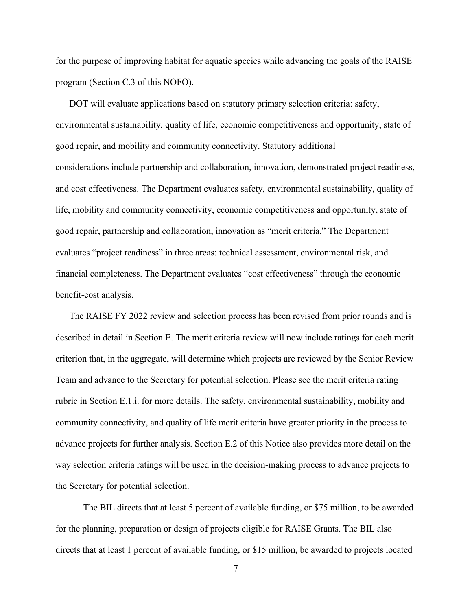for the purpose of improving habitat for aquatic species while advancing the goals of the RAISE program (Section C.3 of this NOFO).

DOT will evaluate applications based on statutory primary selection criteria: safety, environmental sustainability, quality of life, economic competitiveness and opportunity, state of good repair, and mobility and community connectivity. Statutory additional considerations include partnership and collaboration, innovation, demonstrated project readiness, and cost effectiveness. The Department evaluates safety, environmental sustainability, quality of life, mobility and community connectivity, economic competitiveness and opportunity, state of good repair, partnership and collaboration, innovation as "merit criteria." The Department evaluates "project readiness" in three areas: technical assessment, environmental risk, and financial completeness. The Department evaluates "cost effectiveness" through the economic benefit-cost analysis.

The RAISE FY 2022 review and selection process has been revised from prior rounds and is described in detail in Section E. The merit criteria review will now include ratings for each merit criterion that, in the aggregate, will determine which projects are reviewed by the Senior Review Team and advance to the Secretary for potential selection. Please see the merit criteria rating rubric in Section E.1.i. for more details. The safety, environmental sustainability, mobility and community connectivity, and quality of life merit criteria have greater priority in the process to advance projects for further analysis. Section E.2 of this Notice also provides more detail on the way selection criteria ratings will be used in the decision-making process to advance projects to the Secretary for potential selection.

The BIL directs that at least 5 percent of available funding, or \$75 million, to be awarded for the planning, preparation or design of projects eligible for RAISE Grants. The BIL also directs that at least 1 percent of available funding, or \$15 million, be awarded to projects located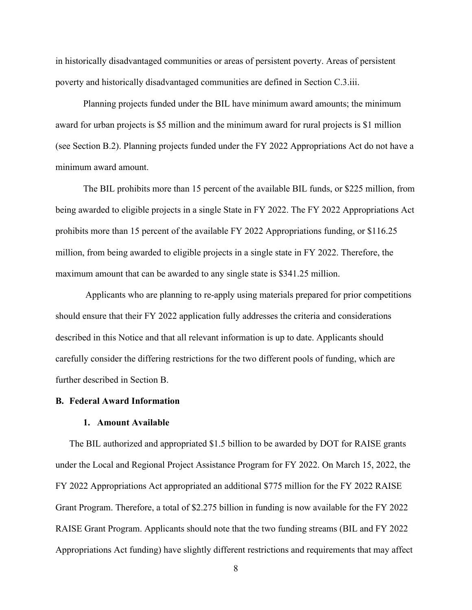in historically disadvantaged communities or areas of persistent poverty. Areas of persistent poverty and historically disadvantaged communities are defined in Section C.3.iii.

Planning projects funded under the BIL have minimum award amounts; the minimum award for urban projects is \$5 million and the minimum award for rural projects is \$1 million (see Section B.2). Planning projects funded under the FY 2022 Appropriations Act do not have a minimum award amount.

The BIL prohibits more than 15 percent of the available BIL funds, or \$225 million, from being awarded to eligible projects in a single State in FY 2022. The FY 2022 Appropriations Act prohibits more than 15 percent of the available FY 2022 Appropriations funding, or \$116.25 million, from being awarded to eligible projects in a single state in FY 2022. Therefore, the maximum amount that can be awarded to any single state is \$341.25 million.

Applicants who are planning to re-apply using materials prepared for prior competitions should ensure that their FY 2022 application fully addresses the criteria and considerations described in this Notice and that all relevant information is up to date. Applicants should carefully consider the differing restrictions for the two different pools of funding, which are further described in Section B.

## <span id="page-7-0"></span>**B. Federal Award Information**

# **1. Amount Available**

The BIL authorized and appropriated \$1.5 billion to be awarded by DOT for RAISE grants under the Local and Regional Project Assistance Program for FY 2022. On March 15, 2022, the FY 2022 Appropriations Act appropriated an additional \$775 million for the FY 2022 RAISE Grant Program. Therefore, a total of \$2.275 billion in funding is now available for the FY 2022 RAISE Grant Program. Applicants should note that the two funding streams (BIL and FY 2022 Appropriations Act funding) have slightly different restrictions and requirements that may affect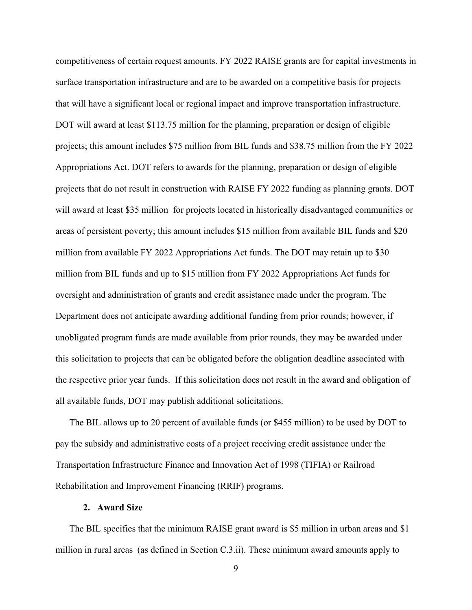competitiveness of certain request amounts. FY 2022 RAISE grants are for capital investments in surface transportation infrastructure and are to be awarded on a competitive basis for projects that will have a significant local or regional impact and improve transportation infrastructure. DOT will award at least \$113.75 million for the planning, preparation or design of eligible projects; this amount includes \$75 million from BIL funds and \$38.75 million from the FY 2022 Appropriations Act. DOT refers to awards for the planning, preparation or design of eligible projects that do not result in construction with RAISE FY 2022 funding as planning grants. DOT will award at least \$35 million for projects located in historically disadvantaged communities or areas of persistent poverty; this amount includes \$15 million from available BIL funds and \$20 million from available FY 2022 Appropriations Act funds. The DOT may retain up to \$30 million from BIL funds and up to \$15 million from FY 2022 Appropriations Act funds for oversight and administration of grants and credit assistance made under the program. The Department does not anticipate awarding additional funding from prior rounds; however, if unobligated program funds are made available from prior rounds, they may be awarded under this solicitation to projects that can be obligated before the obligation deadline associated with the respective prior year funds. If this solicitation does not result in the award and obligation of all available funds, DOT may publish additional solicitations.

The BIL allows up to 20 percent of available funds (or \$455 million) to be used by DOT to pay the subsidy and administrative costs of a project receiving credit assistance under the Transportation Infrastructure Finance and Innovation Act of 1998 (TIFIA) or Railroad Rehabilitation and Improvement Financing (RRIF) programs.

## **2. Award Size**

The BIL specifies that the minimum RAISE grant award is \$5 million in urban areas and \$1 million in rural areas (as defined in Section C.3.ii). These minimum award amounts apply to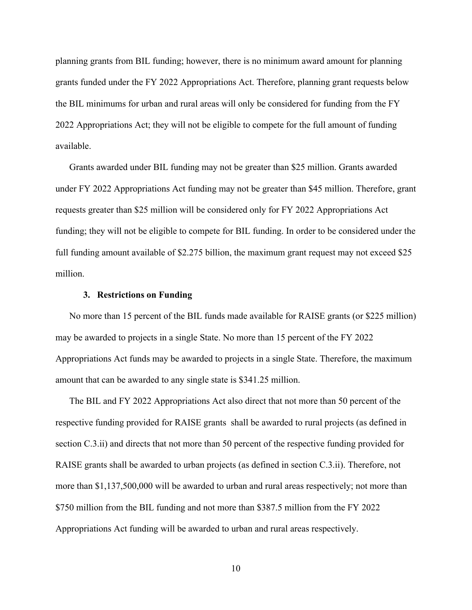planning grants from BIL funding; however, there is no minimum award amount for planning grants funded under the FY 2022 Appropriations Act. Therefore, planning grant requests below the BIL minimums for urban and rural areas will only be considered for funding from the FY 2022 Appropriations Act; they will not be eligible to compete for the full amount of funding available.

Grants awarded under BIL funding may not be greater than \$25 million. Grants awarded under FY 2022 Appropriations Act funding may not be greater than \$45 million. Therefore, grant requests greater than \$25 million will be considered only for FY 2022 Appropriations Act funding; they will not be eligible to compete for BIL funding. In order to be considered under the full funding amount available of \$2.275 billion, the maximum grant request may not exceed \$25 million.

#### **3. Restrictions on Funding**

No more than 15 percent of the BIL funds made available for RAISE grants (or \$225 million) may be awarded to projects in a single State. No more than 15 percent of the FY 2022 Appropriations Act funds may be awarded to projects in a single State. Therefore, the maximum amount that can be awarded to any single state is \$341.25 million.

The BIL and FY 2022 Appropriations Act also direct that not more than 50 percent of the respective funding provided for RAISE grants shall be awarded to rural projects (as defined in section C.3.ii) and directs that not more than 50 percent of the respective funding provided for RAISE grants shall be awarded to urban projects (as defined in section C.3.ii). Therefore, not more than \$1,137,500,000 will be awarded to urban and rural areas respectively; not more than \$750 million from the BIL funding and not more than \$387.5 million from the FY 2022 Appropriations Act funding will be awarded to urban and rural areas respectively.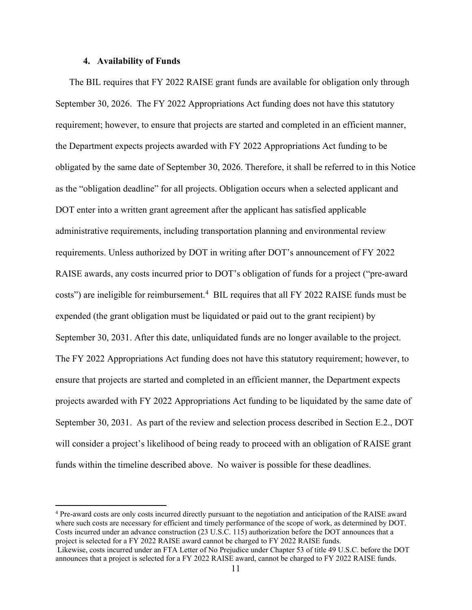## **4. Availability of Funds**

The BIL requires that FY 2022 RAISE grant funds are available for obligation only through September 30, 2026. The FY 2022 Appropriations Act funding does not have this statutory requirement; however, to ensure that projects are started and completed in an efficient manner, the Department expects projects awarded with FY 2022 Appropriations Act funding to be obligated by the same date of September 30, 2026. Therefore, it shall be referred to in this Notice as the "obligation deadline" for all projects. Obligation occurs when a selected applicant and DOT enter into a written grant agreement after the applicant has satisfied applicable administrative requirements, including transportation planning and environmental review requirements. Unless authorized by DOT in writing after DOT's announcement of FY 2022 RAISE awards, any costs incurred prior to DOT's obligation of funds for a project ("pre-award costs") are ineligible for reimbursement.<sup>[4](#page-10-0)</sup> BIL requires that all FY 2022 RAISE funds must be expended (the grant obligation must be liquidated or paid out to the grant recipient) by September 30, 2031. After this date, unliquidated funds are no longer available to the project. The FY 2022 Appropriations Act funding does not have this statutory requirement; however, to ensure that projects are started and completed in an efficient manner, the Department expects projects awarded with FY 2022 Appropriations Act funding to be liquidated by the same date of September 30, 2031. As part of the review and selection process described in [Section E.2.,](#page-61-0) DOT will consider a project's likelihood of being ready to proceed with an obligation of RAISE grant funds within the timeline described above. No waiver is possible for these deadlines.

<span id="page-10-0"></span><sup>4</sup> Pre-award costs are only costs incurred directly pursuant to the negotiation and anticipation of the RAISE award where such costs are necessary for efficient and timely performance of the scope of work, as determined by DOT. Costs incurred under an advance construction (23 U.S.C. 115) authorization before the DOT announces that a project is selected for a FY 2022 RAISE award cannot be charged to FY 2022 RAISE funds.

Likewise, costs incurred under an FTA Letter of No Prejudice under Chapter 53 of title 49 U.S.C. before the DOT announces that a project is selected for a FY 2022 RAISE award, cannot be charged to FY 2022 RAISE funds.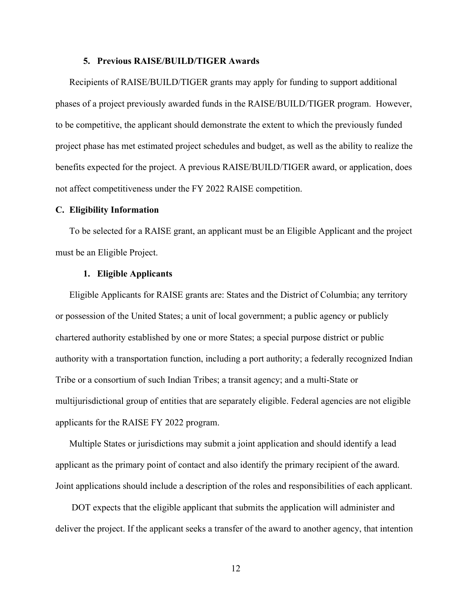## **5. Previous RAISE/BUILD/TIGER Awards**

Recipients of RAISE/BUILD/TIGER grants may apply for funding to support additional phases of a project previously awarded funds in the RAISE/BUILD/TIGER program. However, to be competitive, the applicant should demonstrate the extent to which the previously funded project phase has met estimated project schedules and budget, as well as the ability to realize the benefits expected for the project. A previous RAISE/BUILD/TIGER award, or application, does not affect competitiveness under the FY 2022 RAISE competition.

# **C. Eligibility Information**

To be selected for a RAISE grant, an applicant must be an Eligible Applicant and the project must be an Eligible Project.

#### **1. Eligible Applicants**

Eligible Applicants for RAISE grants are: States and the District of Columbia; any territory or possession of the United States; a unit of local government; a public agency or publicly chartered authority established by one or more States; a special purpose district or public authority with a transportation function, including a port authority; a federally recognized Indian Tribe or a consortium of such Indian Tribes; a transit agency; and a multi-State or multijurisdictional group of entities that are separately eligible. Federal agencies are not eligible applicants for the RAISE FY 2022 program.

Multiple States or jurisdictions may submit a joint application and should identify a lead applicant as the primary point of contact and also identify the primary recipient of the award. Joint applications should include a description of the roles and responsibilities of each applicant.

DOT expects that the eligible applicant that submits the application will administer and deliver the project. If the applicant seeks a transfer of the award to another agency, that intention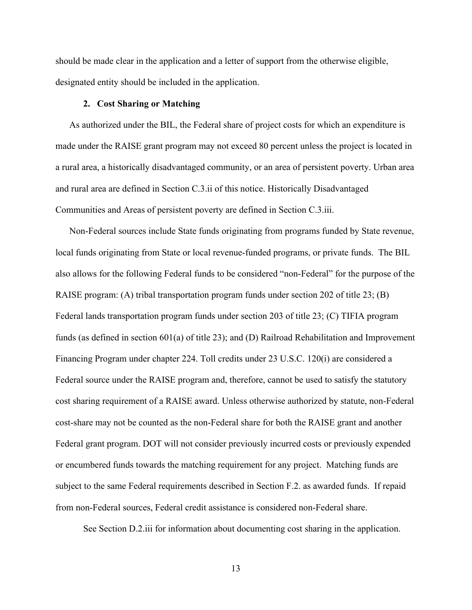should be made clear in the application and a letter of support from the otherwise eligible, designated entity should be included in the application.

#### **2. Cost Sharing or Matching**

As authorized under the BIL, the Federal share of project costs for which an expenditure is made under the RAISE grant program may not exceed 80 percent unless the project is located in a rural area, a historically disadvantaged community, or an area of persistent poverty. Urban area and rural area are defined in Section C.3.ii of this notice. Historically Disadvantaged Communities and Areas of persistent poverty are defined in Section C.3.iii.

Non-Federal sources include State funds originating from programs funded by State revenue, local funds originating from State or local revenue-funded programs, or private funds. The BIL also allows for the following Federal funds to be considered "non-Federal" for the purpose of the RAISE program: (A) tribal transportation program funds under section 202 of title 23; (B) Federal lands transportation program funds under section 203 of title 23; (C) TIFIA program funds (as defined in section 601(a) of title 23); and (D) Railroad Rehabilitation and Improvement Financing Program under chapter 224. Toll credits under 23 U.S.C. 120(i) are considered a Federal source under the RAISE program and, therefore, cannot be used to satisfy the statutory cost sharing requirement of a RAISE award. Unless otherwise authorized by statute, non-Federal cost-share may not be counted as the non-Federal share for both the RAISE grant and another Federal grant program. DOT will not consider previously incurred costs or previously expended or encumbered funds towards the matching requirement for any project. Matching funds are subject to the same Federal requirements described in Section F.2. as awarded funds. If repaid from non-Federal sources, Federal credit assistance is considered non-Federal share.

See Section D.2.iii for information about documenting cost sharing in the application.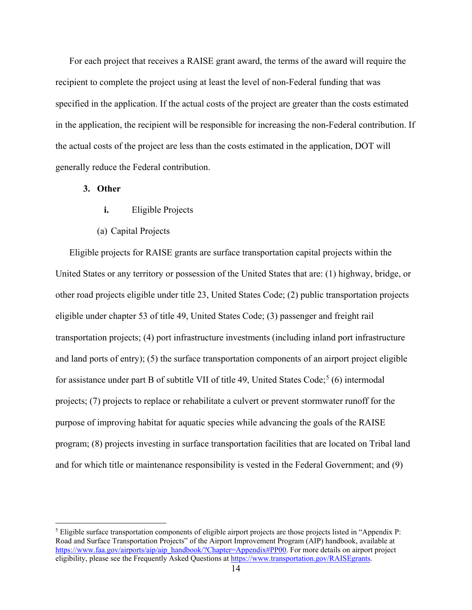For each project that receives a RAISE grant award, the terms of the award will require the recipient to complete the project using at least the level of non-Federal funding that was specified in the application. If the actual costs of the project are greater than the costs estimated in the application, the recipient will be responsible for increasing the non-Federal contribution. If the actual costs of the project are less than the costs estimated in the application, DOT will generally reduce the Federal contribution.

## **3. Other**

- **i.** Eligible Projects
- (a) Capital Projects

Eligible projects for RAISE grants are surface transportation capital projects within the United States or any territory or possession of the United States that are: (1) highway, bridge, or other road projects eligible under title 23, United States Code; (2) public transportation projects eligible under chapter 53 of title 49, United States Code; (3) passenger and freight rail transportation projects; (4) port infrastructure investments (including inland port infrastructure and land ports of entry); (5) the surface transportation components of an airport project eligible for assistance under part B of subtitle VII of title 49, United States Code;<sup>[5](#page-13-0)</sup> (6) intermodal projects; (7) projects to replace or rehabilitate a culvert or prevent stormwater runoff for the purpose of improving habitat for aquatic species while advancing the goals of the RAISE program; (8) projects investing in surface transportation facilities that are located on Tribal land and for which title or maintenance responsibility is vested in the Federal Government; and (9)

<span id="page-13-0"></span> $<sup>5</sup>$  Eligible surface transportation components of eligible airport projects are those projects listed in "Appendix P:</sup> Road and Surface Transportation Projects" of the Airport Improvement Program (AIP) handbook, available at [https://www.faa.gov/airports/aip/aip\\_handbook/?Chapter=Appendix#PP00.](https://www.faa.gov/airports/aip/aip_handbook/?Chapter=Appendix#PP00) For more details on airport project eligibility, please see the Frequently Asked Questions a[t https://www.transportation.gov/RAISEgrants.](https://www.transportation.gov/RAISEgrants)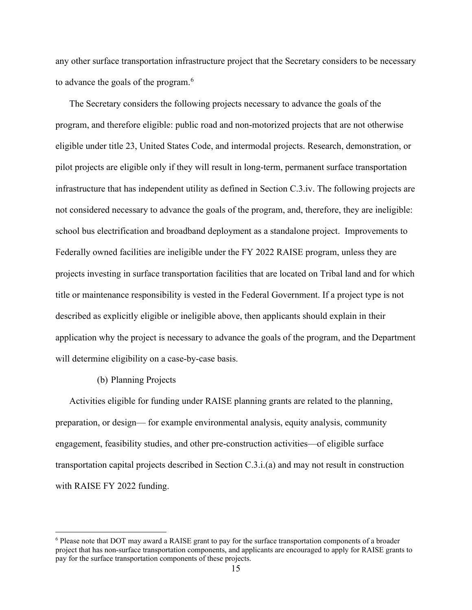any other surface transportation infrastructure project that the Secretary considers to be necessary to advance the goals of the program. $^6$  $^6$ 

The Secretary considers the following projects necessary to advance the goals of the program, and therefore eligible: public road and non-motorized projects that are not otherwise eligible under title 23, United States Code, and intermodal projects. Research, demonstration, or pilot projects are eligible only if they will result in long-term, permanent surface transportation infrastructure that has independent utility as defined in Section C.3.iv. The following projects are not considered necessary to advance the goals of the program, and, therefore, they are ineligible: school bus electrification and broadband deployment as a standalone project. Improvements to Federally owned facilities are ineligible under the FY 2022 RAISE program, unless they are projects investing in surface transportation facilities that are located on Tribal land and for which title or maintenance responsibility is vested in the Federal Government. If a project type is not described as explicitly eligible or ineligible above, then applicants should explain in their application why the project is necessary to advance the goals of the program, and the Department will determine eligibility on a case-by-case basis.

#### (b) Planning Projects

Activities eligible for funding under RAISE planning grants are related to the planning, preparation, or design— for example environmental analysis, equity analysis, community engagement, feasibility studies, and other pre-construction activities—of eligible surface transportation capital projects described in Section C.3.i.(a) and may not result in construction with RAISE FY 2022 funding.

<span id="page-14-0"></span><sup>6</sup> Please note that DOT may award a RAISE grant to pay for the surface transportation components of a broader project that has non-surface transportation components, and applicants are encouraged to apply for RAISE grants to pay for the surface transportation components of these projects.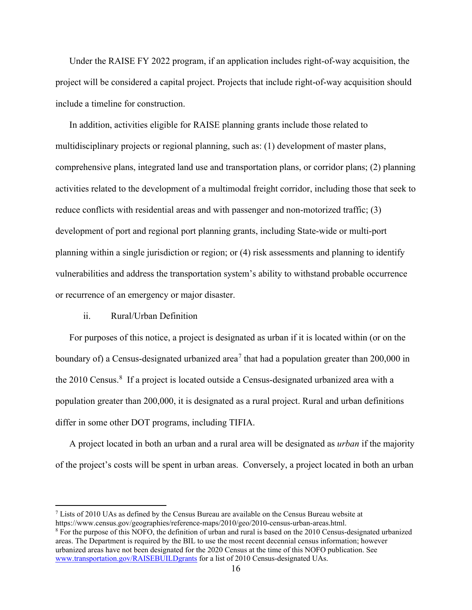Under the RAISE FY 2022 program, if an application includes right-of-way acquisition, the project will be considered a capital project. Projects that include right-of-way acquisition should include a timeline for construction.

In addition, activities eligible for RAISE planning grants include those related to multidisciplinary projects or regional planning, such as: (1) development of master plans, comprehensive plans, integrated land use and transportation plans, or corridor plans; (2) planning activities related to the development of a multimodal freight corridor, including those that seek to reduce conflicts with residential areas and with passenger and non-motorized traffic; (3) development of port and regional port planning grants, including State-wide or multi-port planning within a single jurisdiction or region; or (4) risk assessments and planning to identify vulnerabilities and address the transportation system's ability to withstand probable occurrence or recurrence of an emergency or major disaster.

## ii. Rural/Urban Definition

For purposes of this notice, a project is designated as urban if it is located within (or on the boundary of) a Census-designated urbanized area<sup>[7](#page-15-0)</sup> that had a population greater than 200,000 in the 2010 Census.<sup>[8](#page-15-1)</sup> If a project is located outside a Census-designated urbanized area with a population greater than 200,000, it is designated as a rural project. Rural and urban definitions differ in some other DOT programs, including TIFIA.

A project located in both an urban and a rural area will be designated as *urban* if the majority of the project's costs will be spent in urban areas. Conversely, a project located in both an urban

<span id="page-15-0"></span> $7$  Lists of 2010 UAs as defined by the Census Bureau are available on the Census Bureau website at https://www.census.gov/geographies/reference-maps/2010/geo/2010-census-urban-areas.html.<br><sup>8</sup> For the purpose of this NOFO, the definition of urban and rural is based on the 2010 Census-designated urbanized

<span id="page-15-1"></span>areas. The Department is required by the BIL to use the most recent decennial census information; however urbanized areas have not been designated for the 2020 Census at the time of this NOFO publication. See [www.transportation.gov/RAISEBUILDgrants](http://www.transportation.gov/RAISEgrants) for a list of 2010 Census-designated UAs.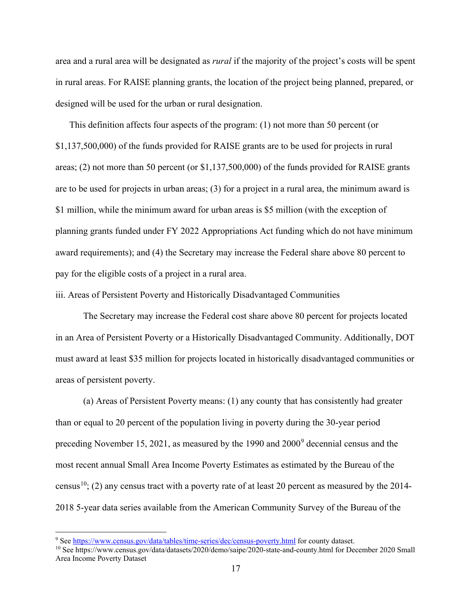area and a rural area will be designated as *rural* if the majority of the project's costs will be spent in rural areas. For RAISE planning grants, the location of the project being planned, prepared, or designed will be used for the urban or rural designation.

This definition affects four aspects of the program: (1) not more than 50 percent (or \$1,137,500,000) of the funds provided for RAISE grants are to be used for projects in rural areas; (2) not more than 50 percent (or \$1,137,500,000) of the funds provided for RAISE grants are to be used for projects in urban areas; (3) for a project in a rural area, the minimum award is \$1 million, while the minimum award for urban areas is \$5 million (with the exception of planning grants funded under FY 2022 Appropriations Act funding which do not have minimum award requirements); and (4) the Secretary may increase the Federal share above 80 percent to pay for the eligible costs of a project in a rural area.

<span id="page-16-2"></span>iii. Areas of Persistent Poverty and Historically Disadvantaged Communities

The Secretary may increase the Federal cost share above 80 percent for projects located in an Area of Persistent Poverty or a Historically Disadvantaged Community. Additionally, DOT must award at least \$35 million for projects located in historically disadvantaged communities or areas of persistent poverty.

(a) Areas of Persistent Poverty means: (1) any county that has consistently had greater than or equal to 20 percent of the population living in poverty during the 30-year period preceding November 15, 2021, as measured by the 1990 and 2000[9](#page-16-0) decennial census and the most recent annual Small Area Income Poverty Estimates as estimated by the Bureau of the census<sup>10</sup>; (2) any census tract with a poverty rate of at least 20 percent as measured by the 2014-2018 5-year data series available from the American Community Survey of the Bureau of the

<span id="page-16-0"></span><sup>&</sup>lt;sup>9</sup> Se[e https://www.census.gov/data/tables/time-series/dec/census-poverty.html](https://www.census.gov/data/tables/time-series/dec/census-poverty.html) for county dataset.

<span id="page-16-1"></span><sup>10</sup> See https://www.census.gov/data/datasets/2020/demo/saipe/2020-state-and-county.html for December 2020 Small Area Income Poverty Dataset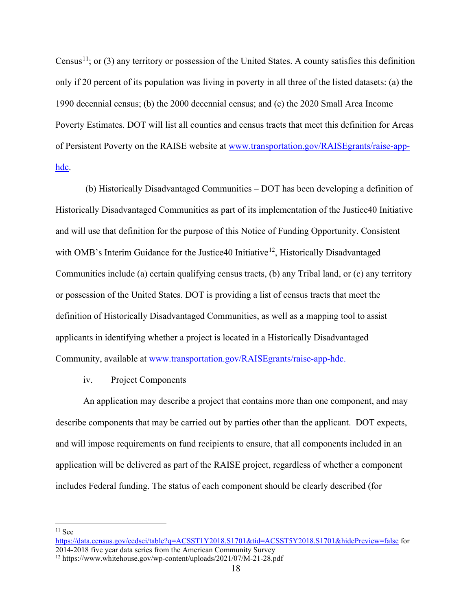Census<sup>[11](#page-17-0)</sup>; or (3) any territory or possession of the United States. A county satisfies this definition only if 20 percent of its population was living in poverty in all three of the listed datasets: (a) the 1990 decennial census; (b) the 2000 decennial census; and (c) the 2020 Small Area Income Poverty Estimates. DOT will list all counties and census tracts that meet this definition for Areas of Persistent Poverty on the RAISE website at [www.transportation.gov/RAISEgrants/raise-app](https://www.transportation.gov/RAISEgrants/raise-app-hdc)[hdc.](https://www.transportation.gov/RAISEgrants/raise-app-hdc)

(b) Historically Disadvantaged Communities – DOT has been developing a definition of Historically Disadvantaged Communities as part of its implementation of the Justice40 Initiative and will use that definition for the purpose of this Notice of Funding Opportunity. Consistent with OMB's Interim Guidance for the Justice40 Initiative<sup>12</sup>, Historically Disadvantaged Communities include (a) certain qualifying census tracts, (b) any Tribal land, or (c) any territory or possession of the United States. DOT is providing a list of census tracts that meet the definition of Historically Disadvantaged Communities, as well as a mapping tool to assist applicants in identifying whether a project is located in a Historically Disadvantaged Community, available at [www.transportation.gov/RAISEgrants/raise-app-hdc.](http://www.transportation.gov/RAISEgrants/raise-app-hdc)

iv. Project Components

An application may describe a project that contains more than one component, and may describe components that may be carried out by parties other than the applicant. DOT expects, and will impose requirements on fund recipients to ensure, that all components included in an application will be delivered as part of the RAISE project, regardless of whether a component includes Federal funding. The status of each component should be clearly described (for

<span id="page-17-0"></span> $11$  See

[https://data.census.gov/cedsci/table?q=ACSST1Y2018.S1701&tid=ACSST5Y2018.S1701&hidePreview=false](https://gcc02.safelinks.protection.outlook.com/?url=https%3A%2F%2Fdata.census.gov%2Fcedsci%2Ftable%3Fq%3DACSST1Y2018.S1701%26tid%3DACSST5Y2018.S1701%26hidePreview%3Dfalse&data=04%7C01%7Ckim.bathrick%40dot.gov%7C596452e5274e4da5eab308d8ee042260%7Cc4cd245b44f04395a1aa3848d258f78b%7C0%7C0%7C637521048857210852%7CUnknown%7CTWFpbGZsb3d8eyJWIjoiMC4wLjAwMDAiLCJQIjoiV2luMzIiLCJBTiI6Ik1haWwiLCJXVCI6Mn0%3D%7C1000&sdata=4JSzu%2BbHGqSNnf8jB1LjZM6dvqgXmktppYyIQ2ONrUc%3D&reserved=0) for 2014-2018 five year data series from the American Community Survey

<span id="page-17-1"></span><sup>12</sup> https://www.whitehouse.gov/wp-content/uploads/2021/07/M-21-28.pdf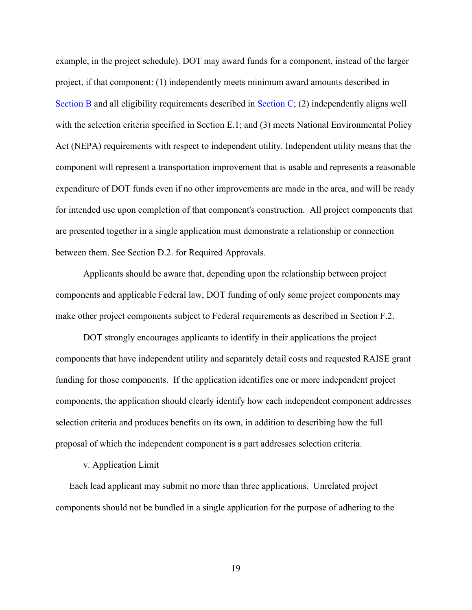example, in the project schedule). DOT may award funds for a component, instead of the larger project, if that component: (1) independently meets minimum award amounts described in [Section B](#page-7-0) and all eligibility requirements described in [Section C;](#page-16-2) (2) independently aligns well with the selection criteria specified in Section E.1; and (3) meets National Environmental Policy Act (NEPA) requirements with respect to independent utility. Independent utility means that the component will represent a transportation improvement that is usable and represents a reasonable expenditure of DOT funds even if no other improvements are made in the area, and will be ready for intended use upon completion of that component's construction. All project components that are presented together in a single application must demonstrate a relationship or connection between them. See Section D.2. for Required Approvals.

Applicants should be aware that, depending upon the relationship between project components and applicable Federal law, DOT funding of only some project components may make other project components subject to Federal requirements as described in Section F.2.

DOT strongly encourages applicants to identify in their applications the project components that have independent utility and separately detail costs and requested RAISE grant funding for those components. If the application identifies one or more independent project components, the application should clearly identify how each independent component addresses selection criteria and produces benefits on its own, in addition to describing how the full proposal of which the independent component is a part addresses selection criteria.

#### v. Application Limit

Each lead applicant may submit no more than three applications. Unrelated project components should not be bundled in a single application for the purpose of adhering to the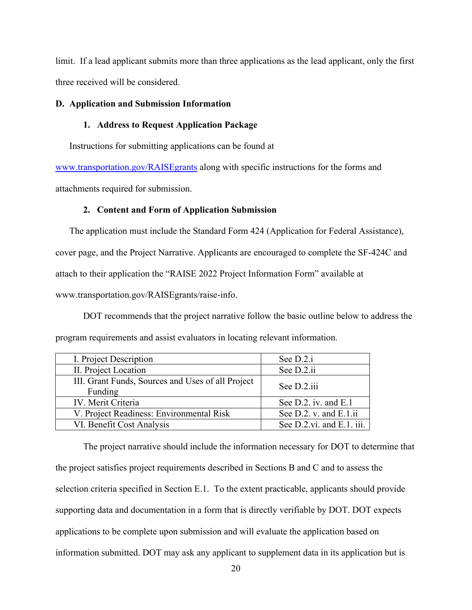limit. If a lead applicant submits more than three applications as the lead applicant, only the first three received will be considered.

#### **D. Application and Submission Information**

## **1. Address to Request Application Package**

Instructions for submitting applications can be found at

[www.transportation.gov/RAISEgrants](http://www.transportation.gov/BUILDgrants) along with specific instructions for the forms and

attachments required for submission.

## **2. Content and Form of Application Submission**

The application must include the Standard Form 424 (Application for Federal Assistance), cover page, and the Project Narrative. Applicants are encouraged to complete the SF-424C and attach to their application the "RAISE 2022 Project Information Form" available at

www.transportation.gov/RAISEgrants/raise-info.

DOT recommends that the project narrative follow the basic outline below to address the program requirements and assist evaluators in locating relevant information.

| I. Project Description                                       | See D.2.i                 |
|--------------------------------------------------------------|---------------------------|
| II. Project Location                                         | See D.2.ii                |
| III. Grant Funds, Sources and Uses of all Project<br>Funding | See D.2.iii               |
| IV. Merit Criteria                                           | See D.2. iv. and E.1      |
| V. Project Readiness: Environmental Risk                     | See D.2. v. and E.1.ii    |
| VI. Benefit Cost Analysis                                    | See D.2.vi. and E.1. iii. |

The project narrative should include the information necessary for DOT to determine that the project satisfies project requirements described in Sections B and C and to assess the selection criteria specified in Section E.1. To the extent practicable, applicants should provide supporting data and documentation in a form that is directly verifiable by DOT. DOT expects applications to be complete upon submission and will evaluate the application based on information submitted. DOT may ask any applicant to supplement data in its application but is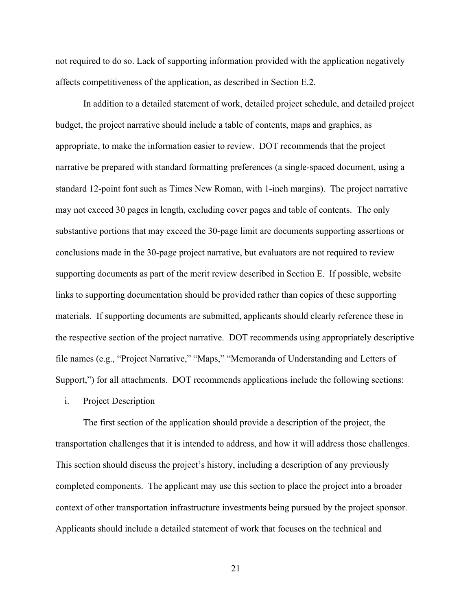not required to do so. Lack of supporting information provided with the application negatively affects competitiveness of the application, as described in Section E.2.

In addition to a detailed statement of work, detailed project schedule, and detailed project budget, the project narrative should include a table of contents, maps and graphics, as appropriate, to make the information easier to review. DOT recommends that the project narrative be prepared with standard formatting preferences (a single-spaced document, using a standard 12-point font such as Times New Roman, with 1-inch margins). The project narrative may not exceed 30 pages in length, excluding cover pages and table of contents. The only substantive portions that may exceed the 30-page limit are documents supporting assertions or conclusions made in the 30-page project narrative, but evaluators are not required to review supporting documents as part of the merit review described in Section E. If possible, website links to supporting documentation should be provided rather than copies of these supporting materials. If supporting documents are submitted, applicants should clearly reference these in the respective section of the project narrative. DOT recommends using appropriately descriptive file names (e.g., "Project Narrative," "Maps," "Memoranda of Understanding and Letters of Support,") for all attachments. DOT recommends applications include the following sections:

#### i. Project Description

The first section of the application should provide a description of the project, the transportation challenges that it is intended to address, and how it will address those challenges. This section should discuss the project's history, including a description of any previously completed components. The applicant may use this section to place the project into a broader context of other transportation infrastructure investments being pursued by the project sponsor. Applicants should include a detailed statement of work that focuses on the technical and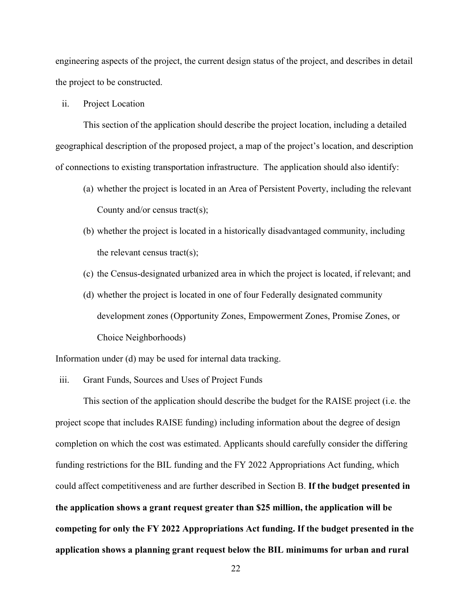engineering aspects of the project, the current design status of the project, and describes in detail the project to be constructed.

ii. Project Location

This section of the application should describe the project location, including a detailed geographical description of the proposed project, a map of the project's location, and description of connections to existing transportation infrastructure. The application should also identify:

- (a) whether the project is located in an Area of Persistent Poverty, including the relevant County and/or census tract(s);
- (b) whether the project is located in a historically disadvantaged community, including the relevant census tract(s);
- (c) the Census-designated urbanized area in which the project is located, if relevant; and
- (d) whether the project is located in one of four Federally designated community development zones (Opportunity Zones, Empowerment Zones, Promise Zones, or Choice Neighborhoods)

Information under (d) may be used for internal data tracking.

iii. Grant Funds, Sources and Uses of Project Funds

This section of the application should describe the budget for the RAISE project (i.e. the project scope that includes RAISE funding) including information about the degree of design completion on which the cost was estimated. Applicants should carefully consider the differing funding restrictions for the BIL funding and the FY 2022 Appropriations Act funding, which could affect competitiveness and are further described in Section B. **If the budget presented in the application shows a grant request greater than \$25 million, the application will be competing for only the FY 2022 Appropriations Act funding. If the budget presented in the application shows a planning grant request below the BIL minimums for urban and rural**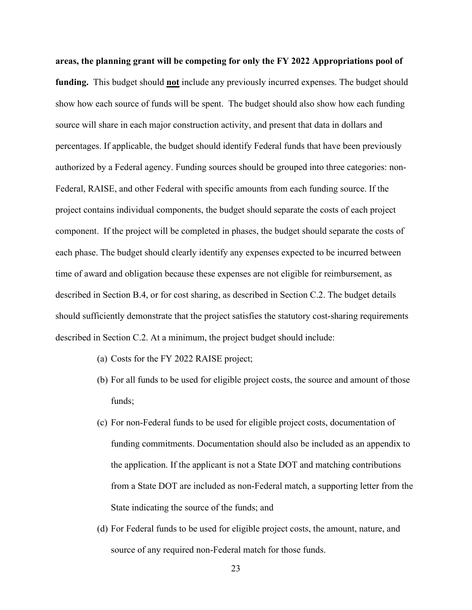**areas, the planning grant will be competing for only the FY 2022 Appropriations pool of funding.** This budget should **not** include any previously incurred expenses. The budget should show how each source of funds will be spent. The budget should also show how each funding source will share in each major construction activity, and present that data in dollars and percentages. If applicable, the budget should identify Federal funds that have been previously authorized by a Federal agency. Funding sources should be grouped into three categories: non-Federal, RAISE, and other Federal with specific amounts from each funding source. If the project contains individual components, the budget should separate the costs of each project component. If the project will be completed in phases, the budget should separate the costs of each phase. The budget should clearly identify any expenses expected to be incurred between time of award and obligation because these expenses are not eligible for reimbursement, as described in Section B.4, or for cost sharing, as described in Section C.2. The budget details should sufficiently demonstrate that the project satisfies the statutory cost-sharing requirements described in Section C.2. At a minimum, the project budget should include:

- (a) Costs for the FY 2022 RAISE project;
- (b) For all funds to be used for eligible project costs, the source and amount of those funds;
- (c) For non-Federal funds to be used for eligible project costs, documentation of funding commitments. Documentation should also be included as an appendix to the application. If the applicant is not a State DOT and matching contributions from a State DOT are included as non-Federal match, a supporting letter from the State indicating the source of the funds; and
- (d) For Federal funds to be used for eligible project costs, the amount, nature, and source of any required non-Federal match for those funds.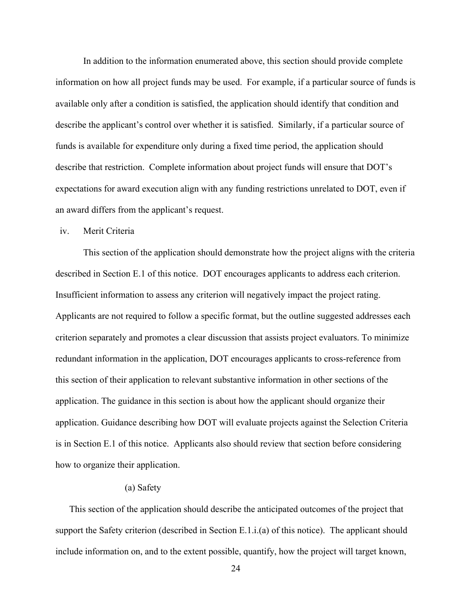In addition to the information enumerated above, this section should provide complete information on how all project funds may be used. For example, if a particular source of funds is available only after a condition is satisfied, the application should identify that condition and describe the applicant's control over whether it is satisfied. Similarly, if a particular source of funds is available for expenditure only during a fixed time period, the application should describe that restriction. Complete information about project funds will ensure that DOT's expectations for award execution align with any funding restrictions unrelated to DOT, even if an award differs from the applicant's request.

# iv. Merit Criteria

This section of the application should demonstrate how the project aligns with the criteria described in Section E.1 of this notice. DOT encourages applicants to address each criterion. Insufficient information to assess any criterion will negatively impact the project rating. Applicants are not required to follow a specific format, but the outline suggested addresses each criterion separately and promotes a clear discussion that assists project evaluators. To minimize redundant information in the application, DOT encourages applicants to cross-reference from this section of their application to relevant substantive information in other sections of the application. The guidance in this section is about how the applicant should organize their application. Guidance describing how DOT will evaluate projects against the Selection Criteria is in Section E.1 of this notice. Applicants also should review that section before considering how to organize their application.

# (a) Safety

This section of the application should describe the anticipated outcomes of the project that support the Safety criterion (described in Section E.1.i.(a) of this notice). The applicant should include information on, and to the extent possible, quantify, how the project will target known,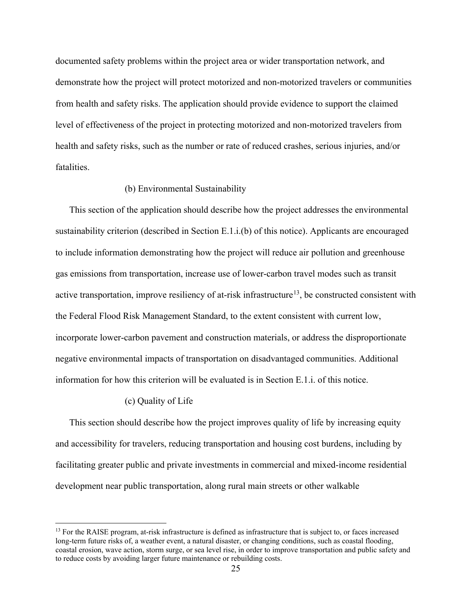documented safety problems within the project area or wider transportation network, and demonstrate how the project will protect motorized and non-motorized travelers or communities from health and safety risks. The application should provide evidence to support the claimed level of effectiveness of the project in protecting motorized and non-motorized travelers from health and safety risks, such as the number or rate of reduced crashes, serious injuries, and/or fatalities.

#### (b) Environmental Sustainability

This section of the application should describe how the project addresses the environmental sustainability criterion (described in Section E.1.i.(b) of this notice). Applicants are encouraged to include information demonstrating how the project will reduce air pollution and greenhouse gas emissions from transportation, increase use of lower-carbon travel modes such as transit active transportation, improve resiliency of at-risk infrastructure<sup>13</sup>, be constructed consistent with the Federal Flood Risk Management Standard, to the extent consistent with current low, incorporate lower-carbon pavement and construction materials, or address the disproportionate negative environmental impacts of transportation on disadvantaged communities. Additional information for how this criterion will be evaluated is in Section E.1.i. of this notice.

#### (c) Quality of Life

This section should describe how the project improves quality of life by increasing equity and accessibility for travelers, reducing transportation and housing cost burdens, including by facilitating greater public and private investments in commercial and mixed-income residential development near public transportation, along rural main streets or other walkable

<span id="page-24-0"></span> $<sup>13</sup>$  For the RAISE program, at-risk infrastructure is defined as infrastructure that is subject to, or faces increased</sup> long-term future risks of, a weather event, a natural disaster, or changing conditions, such as coastal flooding, coastal erosion, wave action, storm surge, or sea level rise, in order to improve transportation and public safety and to reduce costs by avoiding larger future maintenance or rebuilding costs.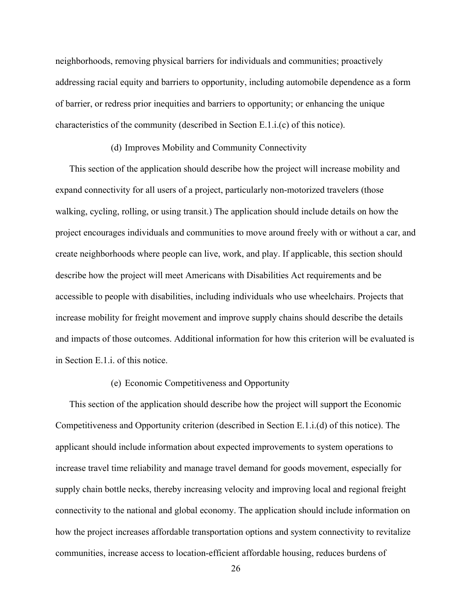neighborhoods, removing physical barriers for individuals and communities; proactively addressing racial equity and barriers to opportunity, including automobile dependence as a form of barrier, or redress prior inequities and barriers to opportunity; or enhancing the unique characteristics of the community (described in Section E.1.i.(c) of this notice).

## (d) Improves Mobility and Community Connectivity

This section of the application should describe how the project will increase mobility and expand connectivity for all users of a project, particularly non-motorized travelers (those walking, cycling, rolling, or using transit.) The application should include details on how the project encourages individuals and communities to move around freely with or without a car, and create neighborhoods where people can live, work, and play. If applicable, this section should describe how the project will meet Americans with Disabilities Act requirements and be accessible to people with disabilities, including individuals who use wheelchairs. Projects that increase mobility for freight movement and improve supply chains should describe the details and impacts of those outcomes. Additional information for how this criterion will be evaluated is in Section E.1.i. of this notice.

## (e) Economic Competitiveness and Opportunity

This section of the application should describe how the project will support the Economic Competitiveness and Opportunity criterion (described in Section E.1.i.(d) of this notice). The applicant should include information about expected improvements to system operations to increase travel time reliability and manage travel demand for goods movement, especially for supply chain bottle necks, thereby increasing velocity and improving local and regional freight connectivity to the national and global economy. The application should include information on how the project increases affordable transportation options and system connectivity to revitalize communities, increase access to location-efficient affordable housing, reduces burdens of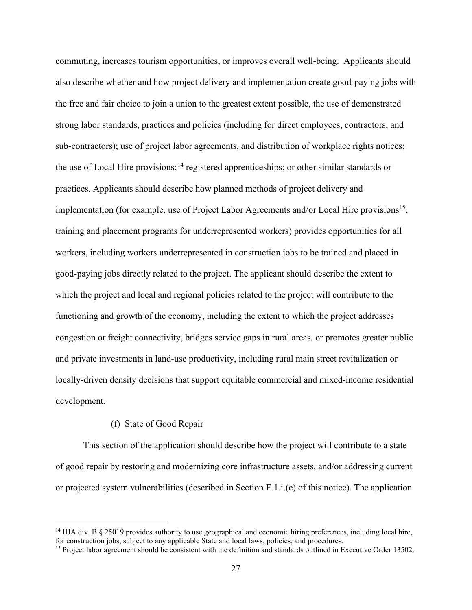commuting, increases tourism opportunities, or improves overall well-being. Applicants should also describe whether and how project delivery and implementation create good-paying jobs with the free and fair choice to join a union to the greatest extent possible, the use of demonstrated strong labor standards, practices and policies (including for direct employees, contractors, and sub-contractors); use of project labor agreements, and distribution of workplace rights notices; the use of Local Hire provisions;<sup>[14](#page-26-0)</sup> registered apprenticeships; or other similar standards or practices. Applicants should describe how planned methods of project delivery and implementation (for example, use of Project Labor Agreements and/or Local Hire provisions<sup>[15](#page-26-1)</sup>, training and placement programs for underrepresented workers) provides opportunities for all workers, including workers underrepresented in construction jobs to be trained and placed in good-paying jobs directly related to the project. The applicant should describe the extent to which the project and local and regional policies related to the project will contribute to the functioning and growth of the economy, including the extent to which the project addresses congestion or freight connectivity, bridges service gaps in rural areas, or promotes greater public and private investments in land-use productivity, including rural main street revitalization or locally-driven density decisions that support equitable commercial and mixed-income residential development.

# (f) State of Good Repair

This section of the application should describe how the project will contribute to a state of good repair by restoring and modernizing core infrastructure assets, and/or addressing current or projected system vulnerabilities (described in Section E.1.i.(e) of this notice). The application

<span id="page-26-0"></span><sup>&</sup>lt;sup>14</sup> IIJA div. B  $\S$  25019 provides authority to use geographical and economic hiring preferences, including local hire, for construction jobs, subject to any applicable State and local laws, policies, and procedures.

<span id="page-26-1"></span><sup>&</sup>lt;sup>15</sup> Project labor agreement should be consistent with the definition and standards outlined in Executive Order 13502.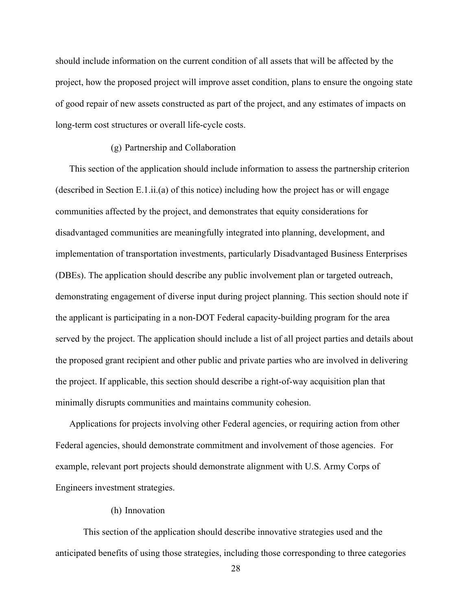should include information on the current condition of all assets that will be affected by the project, how the proposed project will improve asset condition, plans to ensure the ongoing state of good repair of new assets constructed as part of the project, and any estimates of impacts on long-term cost structures or overall life-cycle costs.

# (g) Partnership and Collaboration

This section of the application should include information to assess the partnership criterion (described in Section E.1.ii.(a) of this notice) including how the project has or will engage communities affected by the project, and demonstrates that equity considerations for disadvantaged communities are meaningfully integrated into planning, development, and implementation of transportation investments, particularly Disadvantaged Business Enterprises (DBEs). The application should describe any public involvement plan or targeted outreach, demonstrating engagement of diverse input during project planning. This section should note if the applicant is participating in a non-DOT Federal capacity-building program for the area served by the project. The application should include a list of all project parties and details about the proposed grant recipient and other public and private parties who are involved in delivering the project. If applicable, this section should describe a right-of-way acquisition plan that minimally disrupts communities and maintains community cohesion.

Applications for projects involving other Federal agencies, or requiring action from other Federal agencies, should demonstrate commitment and involvement of those agencies. For example, relevant port projects should demonstrate alignment with U.S. Army Corps of Engineers investment strategies.

# (h) Innovation

This section of the application should describe innovative strategies used and the anticipated benefits of using those strategies, including those corresponding to three categories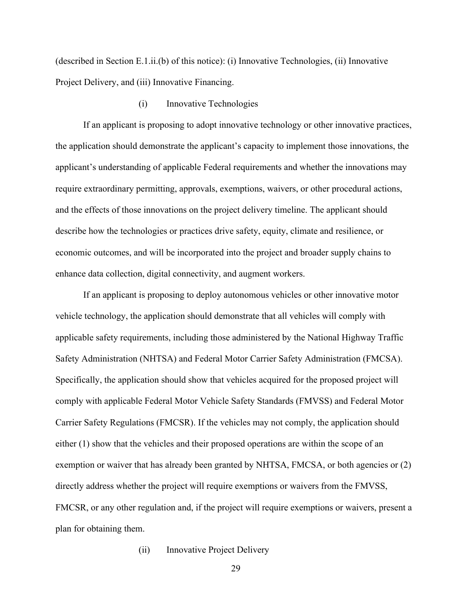(described in Section E.1.ii.(b) of this notice): (i) Innovative Technologies, (ii) Innovative Project Delivery, and (iii) Innovative Financing.

(i) Innovative Technologies

If an applicant is proposing to adopt innovative technology or other innovative practices, the application should demonstrate the applicant's capacity to implement those innovations, the applicant's understanding of applicable Federal requirements and whether the innovations may require extraordinary permitting, approvals, exemptions, waivers, or other procedural actions, and the effects of those innovations on the project delivery timeline. The applicant should describe how the technologies or practices drive safety, equity, climate and resilience, or economic outcomes, and will be incorporated into the project and broader supply chains to enhance data collection, digital connectivity, and augment workers.

If an applicant is proposing to deploy autonomous vehicles or other innovative motor vehicle technology, the application should demonstrate that all vehicles will comply with applicable safety requirements, including those administered by the National Highway Traffic Safety Administration (NHTSA) and Federal Motor Carrier Safety Administration (FMCSA). Specifically, the application should show that vehicles acquired for the proposed project will comply with applicable Federal Motor Vehicle Safety Standards (FMVSS) and Federal Motor Carrier Safety Regulations (FMCSR). If the vehicles may not comply, the application should either (1) show that the vehicles and their proposed operations are within the scope of an exemption or waiver that has already been granted by NHTSA, FMCSA, or both agencies or (2) directly address whether the project will require exemptions or waivers from the FMVSS, FMCSR, or any other regulation and, if the project will require exemptions or waivers, present a plan for obtaining them.

(ii) Innovative Project Delivery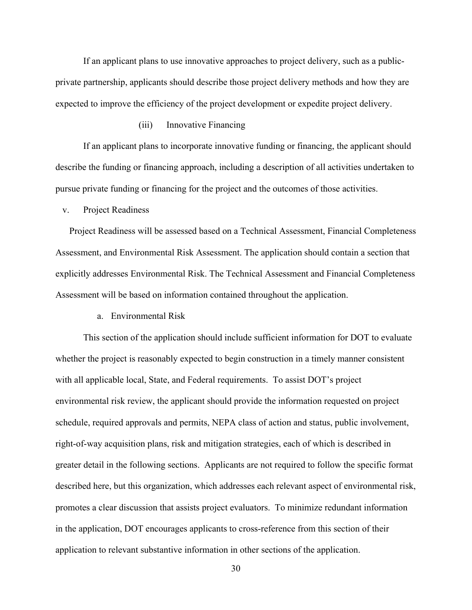If an applicant plans to use innovative approaches to project delivery, such as a publicprivate partnership, applicants should describe those project delivery methods and how they are expected to improve the efficiency of the project development or expedite project delivery.

# (iii) Innovative Financing

If an applicant plans to incorporate innovative funding or financing, the applicant should describe the funding or financing approach, including a description of all activities undertaken to pursue private funding or financing for the project and the outcomes of those activities.

v. Project Readiness

Project Readiness will be assessed based on a Technical Assessment, Financial Completeness Assessment, and Environmental Risk Assessment. The application should contain a section that explicitly addresses Environmental Risk. The Technical Assessment and Financial Completeness Assessment will be based on information contained throughout the application.

a. Environmental Risk

This section of the application should include sufficient information for DOT to evaluate whether the project is reasonably expected to begin construction in a timely manner consistent with all applicable local, State, and Federal requirements. To assist DOT's project environmental risk review, the applicant should provide the information requested on project schedule, required approvals and permits, NEPA class of action and status, public involvement, right-of-way acquisition plans, risk and mitigation strategies, each of which is described in greater detail in the following sections. Applicants are not required to follow the specific format described here, but this organization, which addresses each relevant aspect of environmental risk, promotes a clear discussion that assists project evaluators. To minimize redundant information in the application, DOT encourages applicants to cross-reference from this section of their application to relevant substantive information in other sections of the application.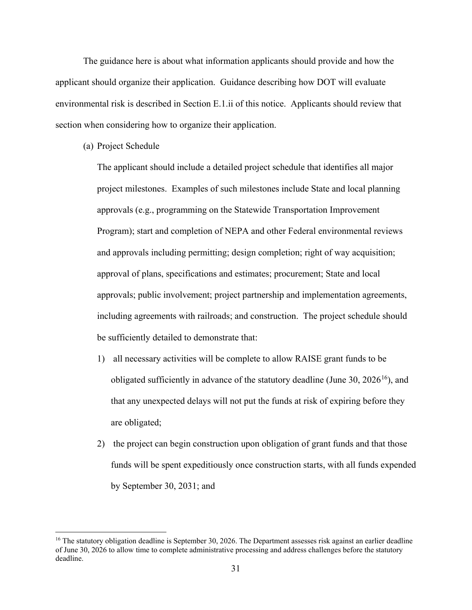The guidance here is about what information applicants should provide and how the applicant should organize their application. Guidance describing how DOT will evaluate environmental risk is described in Section E.1.ii of this notice. Applicants should review that section when considering how to organize their application.

(a) Project Schedule

The applicant should include a detailed project schedule that identifies all major project milestones. Examples of such milestones include State and local planning approvals (e.g., programming on the Statewide Transportation Improvement Program); start and completion of NEPA and other Federal environmental reviews and approvals including permitting; design completion; right of way acquisition; approval of plans, specifications and estimates; procurement; State and local approvals; public involvement; project partnership and implementation agreements, including agreements with railroads; and construction. The project schedule should be sufficiently detailed to demonstrate that:

- 1) all necessary activities will be complete to allow RAISE grant funds to be obligated sufficiently in advance of the statutory deadline (June 30,  $2026^{16}$ ), and that any unexpected delays will not put the funds at risk of expiring before they are obligated;
- 2) the project can begin construction upon obligation of grant funds and that those funds will be spent expeditiously once construction starts, with all funds expended by September 30, 2031; and

<span id="page-30-0"></span><sup>&</sup>lt;sup>16</sup> The statutory obligation deadline is September 30, 2026. The Department assesses risk against an earlier deadline of June 30, 2026 to allow time to complete administrative processing and address challenges before the statutory deadline.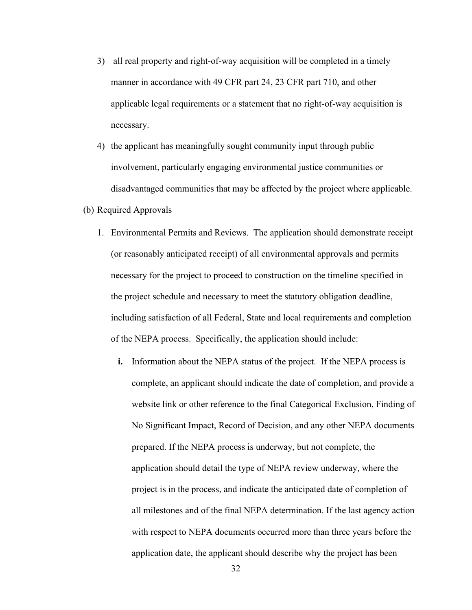- 3) all real property and right-of-way acquisition will be completed in a timely manner in accordance with 49 CFR part 24, 23 CFR part 710, and other applicable legal requirements or a statement that no right-of-way acquisition is necessary.
- 4) the applicant has meaningfully sought community input through public involvement, particularly engaging environmental justice communities or disadvantaged communities that may be affected by the project where applicable.
- (b) Required Approvals
	- 1. Environmental Permits and Reviews. The application should demonstrate receipt (or reasonably anticipated receipt) of all environmental approvals and permits necessary for the project to proceed to construction on the timeline specified in the project schedule and necessary to meet the statutory obligation deadline, including satisfaction of all Federal, State and local requirements and completion of the NEPA process. Specifically, the application should include:
		- **i.** Information about the NEPA status of the project. If the NEPA process is complete, an applicant should indicate the date of completion, and provide a website link or other reference to the final Categorical Exclusion, Finding of No Significant Impact, Record of Decision, and any other NEPA documents prepared. If the NEPA process is underway, but not complete, the application should detail the type of NEPA review underway, where the project is in the process, and indicate the anticipated date of completion of all milestones and of the final NEPA determination. If the last agency action with respect to NEPA documents occurred more than three years before the application date, the applicant should describe why the project has been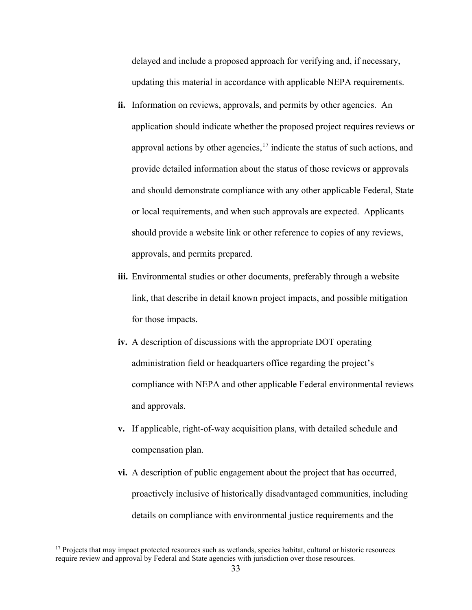delayed and include a proposed approach for verifying and, if necessary, updating this material in accordance with applicable NEPA requirements.

- ii. Information on reviews, approvals, and permits by other agencies. An application should indicate whether the proposed project requires reviews or approval actions by other agencies,  $17$  indicate the status of such actions, and provide detailed information about the status of those reviews or approvals and should demonstrate compliance with any other applicable Federal, State or local requirements, and when such approvals are expected. Applicants should provide a website link or other reference to copies of any reviews, approvals, and permits prepared.
- **iii.** Environmental studies or other documents, preferably through a website link, that describe in detail known project impacts, and possible mitigation for those impacts.
- **iv.** A description of discussions with the appropriate DOT operating administration field or headquarters office regarding the project's compliance with NEPA and other applicable Federal environmental reviews and approvals.
- **v.** If applicable, right-of-way acquisition plans, with detailed schedule and compensation plan.
- **vi.** A description of public engagement about the project that has occurred, proactively inclusive of historically disadvantaged communities, including details on compliance with environmental justice requirements and the

<span id="page-32-0"></span><sup>&</sup>lt;sup>17</sup> Projects that may impact protected resources such as wetlands, species habitat, cultural or historic resources require review and approval by Federal and State agencies with jurisdiction over those resources.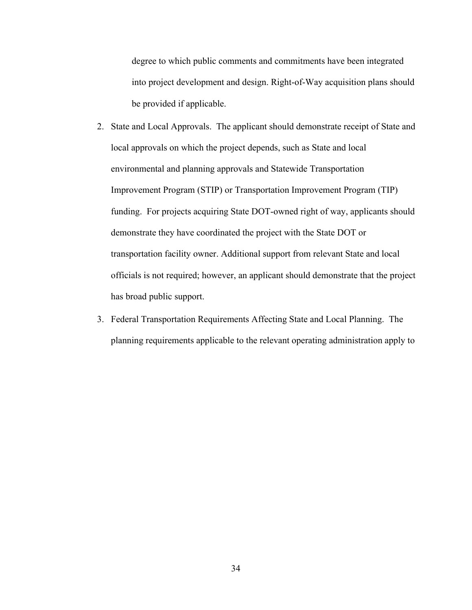degree to which public comments and commitments have been integrated into project development and design. Right-of-Way acquisition plans should be provided if applicable.

- 2. State and Local Approvals. The applicant should demonstrate receipt of State and local approvals on which the project depends, such as State and local environmental and planning approvals and Statewide Transportation Improvement Program (STIP) or Transportation Improvement Program (TIP) funding. For projects acquiring State DOT-owned right of way, applicants should demonstrate they have coordinated the project with the State DOT or transportation facility owner. Additional support from relevant State and local officials is not required; however, an applicant should demonstrate that the project has broad public support.
- 3. Federal Transportation Requirements Affecting State and Local Planning. The planning requirements applicable to the relevant operating administration apply to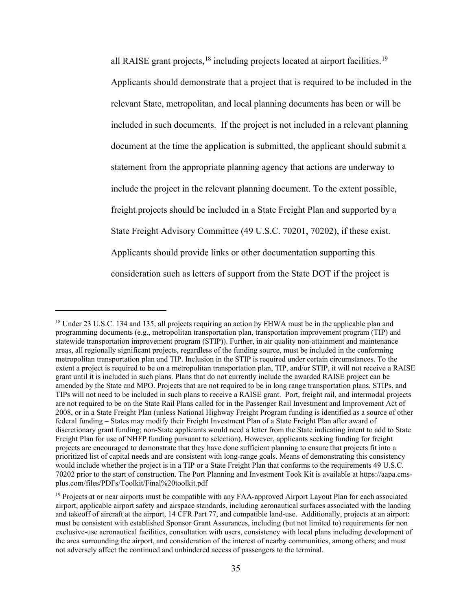all RAISE grant projects, <sup>[18](#page-34-0)</sup> including projects located at airport facilities.<sup>[19](#page-34-1)</sup> Applicants should demonstrate that a project that is required to be included in the relevant State, metropolitan, and local planning documents has been or will be included in such documents. If the project is not included in a relevant planning document at the time the application is submitted, the applicant should submit a statement from the appropriate planning agency that actions are underway to include the project in the relevant planning document. To the extent possible, freight projects should be included in a State Freight Plan and supported by a State Freight Advisory Committee (49 U.S.C. 70201, 70202), if these exist. Applicants should provide links or other documentation supporting this consideration such as letters of support from the State DOT if the project is

<span id="page-34-0"></span><sup>&</sup>lt;sup>18</sup> Under 23 U.S.C. 134 and 135, all projects requiring an action by FHWA must be in the applicable plan and programming documents (e.g., metropolitan transportation plan, transportation improvement program (TIP) and statewide transportation improvement program (STIP)). Further, in air quality non-attainment and maintenance areas, all regionally significant projects, regardless of the funding source, must be included in the conforming metropolitan transportation plan and TIP. Inclusion in the STIP is required under certain circumstances. To the extent a project is required to be on a metropolitan transportation plan, TIP, and/or STIP, it will not receive a RAISE grant until it is included in such plans. Plans that do not currently include the awarded RAISE project can be amended by the State and MPO. Projects that are not required to be in long range transportation plans, STIPs, and TIPs will not need to be included in such plans to receive a RAISE grant. Port, freight rail, and intermodal projects are not required to be on the State Rail Plans called for in the Passenger Rail Investment and Improvement Act of 2008, or in a State Freight Plan (unless National Highway Freight Program funding is identified as a source of other federal funding – States may modify their Freight Investment Plan of a State Freight Plan after award of discretionary grant funding; non-State applicants would need a letter from the State indicating intent to add to State Freight Plan for use of NHFP funding pursuant to selection). However, applicants seeking funding for freight projects are encouraged to demonstrate that they have done sufficient planning to ensure that projects fit into a prioritized list of capital needs and are consistent with long-range goals. Means of demonstrating this consistency would include whether the project is in a TIP or a State Freight Plan that conforms to the requirements 49 U.S.C. 70202 prior to the start of construction. The Port Planning and Investment Took Kit is available at https://aapa.cmsplus.com/files/PDFs/Toolkit/Final%20toolkit.pdf

<span id="page-34-1"></span><sup>&</sup>lt;sup>19</sup> Projects at or near airports must be compatible with any FAA-approved Airport Layout Plan for each associated airport, applicable airport safety and airspace standards, including aeronautical surfaces associated with the landing and takeoff of aircraft at the airport, 14 CFR Part 77, and compatible land-use. Additionally, projects at an airport: must be consistent with established Sponsor Grant Assurances, including (but not limited to) requirements for non exclusive-use aeronautical facilities, consultation with users, consistency with local plans including development of the area surrounding the airport, and consideration of the interest of nearby communities, among others; and must not adversely affect the continued and unhindered access of passengers to the terminal.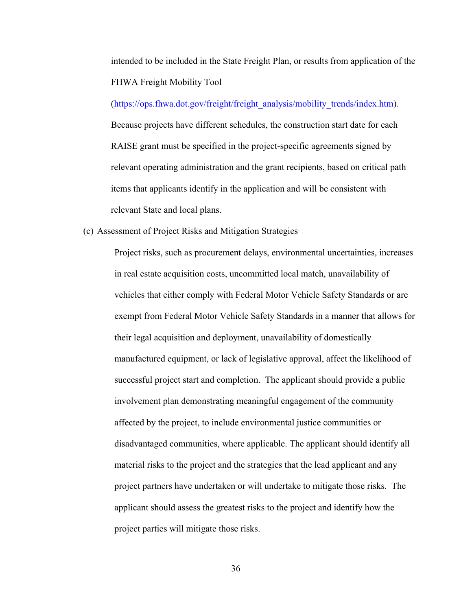intended to be included in the State Freight Plan, or results from application of the FHWA Freight Mobility Tool

[\(https://ops.fhwa.dot.gov/freight/freight\\_analysis/mobility\\_trends/index.htm\)](https://ops.fhwa.dot.gov/freight/freight_analysis/mobility_trends/index.htm). Because projects have different schedules, the construction start date for each RAISE grant must be specified in the project-specific agreements signed by relevant operating administration and the grant recipients, based on critical path items that applicants identify in the application and will be consistent with relevant State and local plans.

(c) Assessment of Project Risks and Mitigation Strategies

Project risks, such as procurement delays, environmental uncertainties, increases in real estate acquisition costs, uncommitted local match, unavailability of vehicles that either comply with Federal Motor Vehicle Safety Standards or are exempt from Federal Motor Vehicle Safety Standards in a manner that allows for their legal acquisition and deployment, unavailability of domestically manufactured equipment, or lack of legislative approval, affect the likelihood of successful project start and completion. The applicant should provide a public involvement plan demonstrating meaningful engagement of the community affected by the project, to include environmental justice communities or disadvantaged communities, where applicable. The applicant should identify all material risks to the project and the strategies that the lead applicant and any project partners have undertaken or will undertake to mitigate those risks. The applicant should assess the greatest risks to the project and identify how the project parties will mitigate those risks.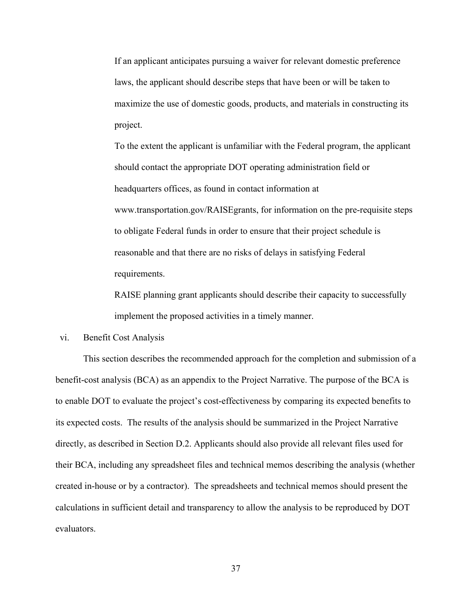If an applicant anticipates pursuing a waiver for relevant domestic preference laws, the applicant should describe steps that have been or will be taken to maximize the use of domestic goods, products, and materials in constructing its project.

To the extent the applicant is unfamiliar with the Federal program, the applicant should contact the appropriate DOT operating administration field or headquarters offices, as found in contact information at [www.transportation.gov/RAISEgrants,](http://www.transportation.gov/BUILDgrants) for information on the pre-requisite steps to obligate Federal funds in order to ensure that their project schedule is reasonable and that there are no risks of delays in satisfying Federal requirements.

RAISE planning grant applicants should describe their capacity to successfully implement the proposed activities in a timely manner.

# vi. Benefit Cost Analysis

This section describes the recommended approach for the completion and submission of a benefit-cost analysis (BCA) as an appendix to the Project Narrative. The purpose of the BCA is to enable DOT to evaluate the project's cost-effectiveness by comparing its expected benefits to its expected costs. The results of the analysis should be summarized in the Project Narrative directly, as described in Section D.2. Applicants should also provide all relevant files used for their BCA, including any spreadsheet files and technical memos describing the analysis (whether created in-house or by a contractor). The spreadsheets and technical memos should present the calculations in sufficient detail and transparency to allow the analysis to be reproduced by DOT evaluators.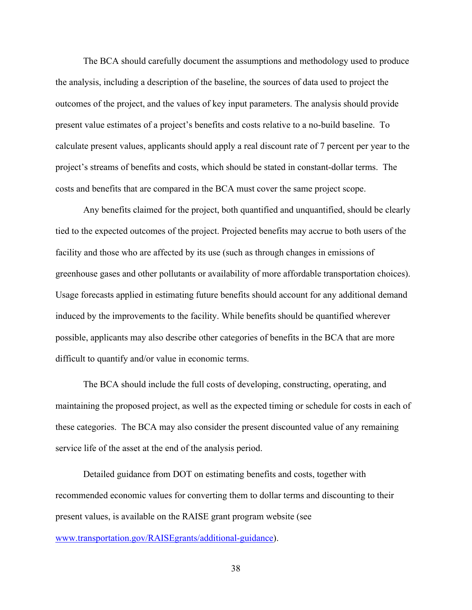The BCA should carefully document the assumptions and methodology used to produce the analysis, including a description of the baseline, the sources of data used to project the outcomes of the project, and the values of key input parameters. The analysis should provide present value estimates of a project's benefits and costs relative to a no-build baseline. To calculate present values, applicants should apply a real discount rate of 7 percent per year to the project's streams of benefits and costs, which should be stated in constant-dollar terms. The costs and benefits that are compared in the BCA must cover the same project scope.

Any benefits claimed for the project, both quantified and unquantified, should be clearly tied to the expected outcomes of the project. Projected benefits may accrue to both users of the facility and those who are affected by its use (such as through changes in emissions of greenhouse gases and other pollutants or availability of more affordable transportation choices). Usage forecasts applied in estimating future benefits should account for any additional demand induced by the improvements to the facility. While benefits should be quantified wherever possible, applicants may also describe other categories of benefits in the BCA that are more difficult to quantify and/or value in economic terms.

The BCA should include the full costs of developing, constructing, operating, and maintaining the proposed project, as well as the expected timing or schedule for costs in each of these categories. The BCA may also consider the present discounted value of any remaining service life of the asset at the end of the analysis period.

Detailed guidance from DOT on estimating benefits and costs, together with recommended economic values for converting them to dollar terms and discounting to their present values, is available on the RAISE grant program website (see [www.transportation.gov/RAISEgrants/additional-guidance\)](http://www.transportation.gov/BUILDgrants/additional-guidance).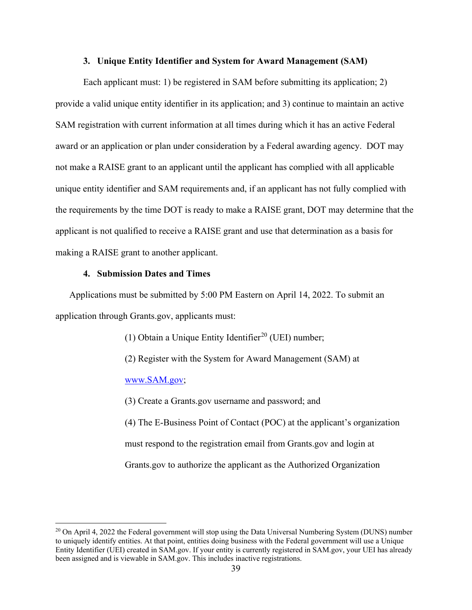## **3. Unique Entity Identifier and System for Award Management (SAM)**

Each applicant must: 1) be registered in SAM before submitting its application; 2) provide a valid unique entity identifier in its application; and 3) continue to maintain an active SAM registration with current information at all times during which it has an active Federal award or an application or plan under consideration by a Federal awarding agency. DOT may not make a RAISE grant to an applicant until the applicant has complied with all applicable unique entity identifier and SAM requirements and, if an applicant has not fully complied with the requirements by the time DOT is ready to make a RAISE grant, DOT may determine that the applicant is not qualified to receive a RAISE grant and use that determination as a basis for making a RAISE grant to another applicant.

## **4. Submission Dates and Times**

Applications must be submitted by 5:00 PM Eastern on April 14, 2022. To submit an application through Grants.gov, applicants must:

(1) Obtain a Unique Entity Identifier<sup>[20](#page-38-0)</sup> (UEI) number;

(2) Register with the System for Award Management (SAM) at

[www.SAM.gov;](http://www.sam.gov/)

(3) Create a Grants.gov username and password; and

(4) The E-Business Point of Contact (POC) at the applicant's organization must respond to the registration email from Grants.gov and login at Grants.gov to authorize the applicant as the Authorized Organization

<span id="page-38-0"></span><sup>&</sup>lt;sup>20</sup> On April 4, 2022 the Federal government will stop using the Data Universal Numbering System (DUNS) number to uniquely identify entities. At that point, entities doing business with the Federal government will use a Unique Entity Identifier (UEI) created in SAM.gov. If your entity is currently registered in SAM.gov, your UEI has already been assigned and is viewable in SAM.gov. This includes inactive registrations.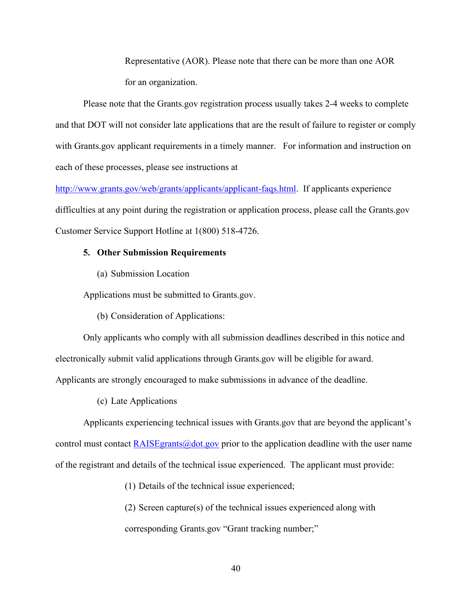Representative (AOR). Please note that there can be more than one AOR for an organization.

Please note that the Grants.gov registration process usually takes 2-4 weeks to complete and that DOT will not consider late applications that are the result of failure to register or comply with Grants.gov applicant requirements in a timely manner. For information and instruction on each of these processes, please see instructions at

[http://www.grants.gov/web/grants/applicants/applicant-faqs.html.](http://www.grants.gov/web/grants/applicants/applicant-faqs.html) If applicants experience difficulties at any point during the registration or application process, please call the Grants.gov Customer Service Support Hotline at 1(800) 518-4726.

#### **5. Other Submission Requirements**

(a) Submission Location

Applications must be submitted to Grants.gov.

(b) Consideration of Applications:

Only applicants who comply with all submission deadlines described in this notice and electronically submit valid applications through Grants.gov will be eligible for award.

Applicants are strongly encouraged to make submissions in advance of the deadline.

(c) Late Applications

Applicants experiencing technical issues with Grants.gov that are beyond the applicant's control must contact  $RAISEgrants@dot.gov$  prior to the application deadline with the user name of the registrant and details of the technical issue experienced. The applicant must provide:

(1) Details of the technical issue experienced;

(2) Screen capture(s) of the technical issues experienced along with corresponding Grants.gov "Grant tracking number;"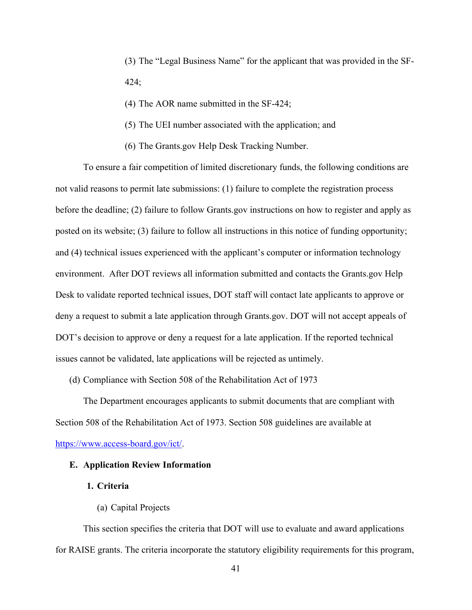(3) The "Legal Business Name" for the applicant that was provided in the SF-424;

- (4) The AOR name submitted in the SF-424;
- (5) The UEI number associated with the application; and
- (6) The Grants.gov Help Desk Tracking Number.

To ensure a fair competition of limited discretionary funds, the following conditions are not valid reasons to permit late submissions: (1) failure to complete the registration process before the deadline; (2) failure to follow Grants.gov instructions on how to register and apply as posted on its website; (3) failure to follow all instructions in this notice of funding opportunity; and (4) technical issues experienced with the applicant's computer or information technology environment. After DOT reviews all information submitted and contacts the Grants.gov Help Desk to validate reported technical issues, DOT staff will contact late applicants to approve or deny a request to submit a late application through Grants.gov. DOT will not accept appeals of DOT's decision to approve or deny a request for a late application. If the reported technical issues cannot be validated, late applications will be rejected as untimely.

(d) Compliance with Section 508 of the Rehabilitation Act of 1973

The Department encourages applicants to submit documents that are compliant with Section 508 of the Rehabilitation Act of 1973. Section 508 guidelines are available at

[https://www.access-board.gov/ict/.](https://www.access-board.gov/ict/)

# <span id="page-40-0"></span>**E. Application Review Information**

#### **1. Criteria**

(a) Capital Projects

This section specifies the criteria that DOT will use to evaluate and award applications for RAISE grants. The criteria incorporate the statutory eligibility requirements for this program,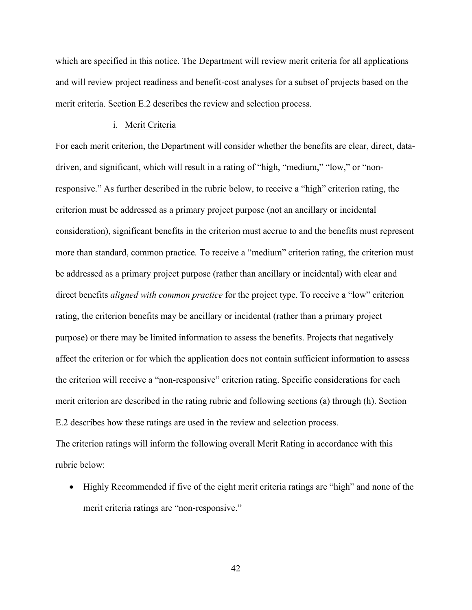which are specified in this notice. The Department will review merit criteria for all applications and will review project readiness and benefit-cost analyses for a subset of projects based on the merit criteria. Section E.2 describes the review and selection process.

#### i. Merit Criteria

For each merit criterion, the Department will consider whether the benefits are clear, direct, datadriven, and significant, which will result in a rating of "high, "medium," "low," or "nonresponsive." As further described in the rubric below, to receive a "high" criterion rating, the criterion must be addressed as a primary project purpose (not an ancillary or incidental consideration), significant benefits in the criterion must accrue to and the benefits must represent more than standard, common practice*.* To receive a "medium" criterion rating, the criterion must be addressed as a primary project purpose (rather than ancillary or incidental) with clear and direct benefits *aligned with common practice* for the project type. To receive a "low" criterion rating, the criterion benefits may be ancillary or incidental (rather than a primary project purpose) or there may be limited information to assess the benefits. Projects that negatively affect the criterion or for which the application does not contain sufficient information to assess the criterion will receive a "non-responsive" criterion rating. Specific considerations for each merit criterion are described in the rating rubric and following sections (a) through (h). Section E.2 describes how these ratings are used in the review and selection process. The criterion ratings will inform the following overall Merit Rating in accordance with this rubric below:

• Highly Recommended if five of the eight merit criteria ratings are "high" and none of the merit criteria ratings are "non-responsive."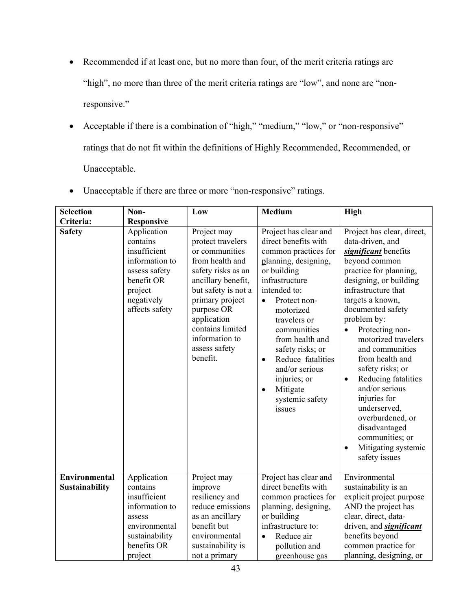- Recommended if at least one, but no more than four, of the merit criteria ratings are "high", no more than three of the merit criteria ratings are "low", and none are "nonresponsive."
- Acceptable if there is a combination of "high," "medium," "low," or "non-responsive" ratings that do not fit within the definitions of Highly Recommended, Recommended, or Unacceptable.

| <b>Selection</b>                | Non-                                                                                                                                | Low                                                                                                                                                                                                                                                         | <b>Medium</b>                                                                                                                                                                                                                                                                                                                                                                            | <b>High</b>                                                                                                                                                                                                                                                                                                                                                                                                                                                                                                                                    |
|---------------------------------|-------------------------------------------------------------------------------------------------------------------------------------|-------------------------------------------------------------------------------------------------------------------------------------------------------------------------------------------------------------------------------------------------------------|------------------------------------------------------------------------------------------------------------------------------------------------------------------------------------------------------------------------------------------------------------------------------------------------------------------------------------------------------------------------------------------|------------------------------------------------------------------------------------------------------------------------------------------------------------------------------------------------------------------------------------------------------------------------------------------------------------------------------------------------------------------------------------------------------------------------------------------------------------------------------------------------------------------------------------------------|
| Criteria:                       | <b>Responsive</b>                                                                                                                   |                                                                                                                                                                                                                                                             |                                                                                                                                                                                                                                                                                                                                                                                          |                                                                                                                                                                                                                                                                                                                                                                                                                                                                                                                                                |
| <b>Safety</b>                   | Application<br>contains<br>insufficient<br>information to<br>assess safety<br>benefit OR<br>project<br>negatively<br>affects safety | Project may<br>protect travelers<br>or communities<br>from health and<br>safety risks as an<br>ancillary benefit,<br>but safety is not a<br>primary project<br>purpose OR<br>application<br>contains limited<br>information to<br>assess safety<br>benefit. | Project has clear and<br>direct benefits with<br>common practices for<br>planning, designing,<br>or building<br>infrastructure<br>intended to:<br>Protect non-<br>$\bullet$<br>motorized<br>travelers or<br>communities<br>from health and<br>safety risks; or<br>Reduce fatalities<br>$\bullet$<br>and/or serious<br>injuries; or<br>Mitigate<br>$\bullet$<br>systemic safety<br>issues | Project has clear, direct,<br>data-driven, and<br>significant benefits<br>beyond common<br>practice for planning,<br>designing, or building<br>infrastructure that<br>targets a known,<br>documented safety<br>problem by:<br>Protecting non-<br>$\bullet$<br>motorized travelers<br>and communities<br>from health and<br>safety risks; or<br>Reducing fatalities<br>$\bullet$<br>and/or serious<br>injuries for<br>underserved,<br>overburdened, or<br>disadvantaged<br>communities; or<br>Mitigating systemic<br>$\bullet$<br>safety issues |
| Environmental<br>Sustainability | Application<br>contains<br>insufficient<br>information to<br>assess<br>environmental<br>sustainability<br>benefits OR               | Project may<br>improve<br>resiliency and<br>reduce emissions<br>as an ancillary<br>benefit but<br>environmental<br>sustainability is                                                                                                                        | Project has clear and<br>direct benefits with<br>common practices for<br>planning, designing,<br>or building<br>infrastructure to:<br>Reduce air<br>$\bullet$<br>pollution and                                                                                                                                                                                                           | Environmental<br>sustainability is an<br>explicit project purpose<br>AND the project has<br>clear, direct, data-<br>driven, and <b>significant</b><br>benefits beyond<br>common practice for                                                                                                                                                                                                                                                                                                                                                   |
|                                 | project                                                                                                                             | not a primary                                                                                                                                                                                                                                               | greenhouse gas                                                                                                                                                                                                                                                                                                                                                                           | planning, designing, or                                                                                                                                                                                                                                                                                                                                                                                                                                                                                                                        |

• Unacceptable if there are three or more "non-responsive" ratings.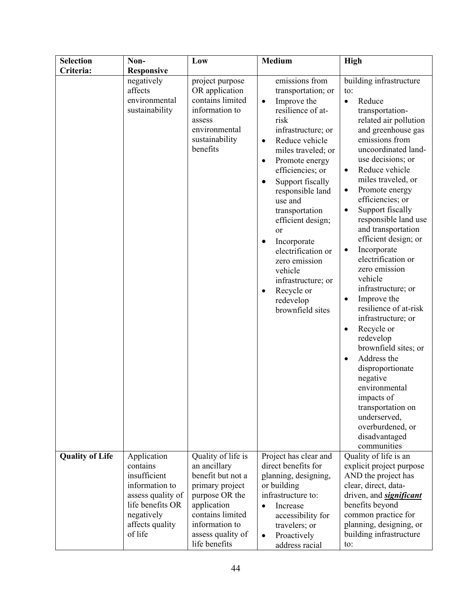| <b>Selection</b>       | Non-                                                     | Low                                                                                                                              | <b>Medium</b>                                                                                                                                                                                                                                                                                                                                                                                                                                                                                            | <b>High</b>                                                                                                                                                                                                                                                                                                                                                                                                                                                                                                                                                                                                                                                                                                                                                                                                                     |
|------------------------|----------------------------------------------------------|----------------------------------------------------------------------------------------------------------------------------------|----------------------------------------------------------------------------------------------------------------------------------------------------------------------------------------------------------------------------------------------------------------------------------------------------------------------------------------------------------------------------------------------------------------------------------------------------------------------------------------------------------|---------------------------------------------------------------------------------------------------------------------------------------------------------------------------------------------------------------------------------------------------------------------------------------------------------------------------------------------------------------------------------------------------------------------------------------------------------------------------------------------------------------------------------------------------------------------------------------------------------------------------------------------------------------------------------------------------------------------------------------------------------------------------------------------------------------------------------|
| Criteria:              | <b>Responsive</b>                                        |                                                                                                                                  |                                                                                                                                                                                                                                                                                                                                                                                                                                                                                                          |                                                                                                                                                                                                                                                                                                                                                                                                                                                                                                                                                                                                                                                                                                                                                                                                                                 |
|                        | negatively<br>affects<br>environmental<br>sustainability | project purpose<br>OR application<br>contains limited<br>information to<br>assess<br>environmental<br>sustainability<br>benefits | emissions from<br>transportation; or<br>Improve the<br>$\bullet$<br>resilience of at-<br>risk<br>infrastructure; or<br>Reduce vehicle<br>$\bullet$<br>miles traveled; or<br>Promote energy<br>$\bullet$<br>efficiencies; or<br>Support fiscally<br>$\bullet$<br>responsible land<br>use and<br>transportation<br>efficient design;<br>or<br>Incorporate<br>$\bullet$<br>electrification or<br>zero emission<br>vehicle<br>infrastructure; or<br>Recycle or<br>$\bullet$<br>redevelop<br>brownfield sites | building infrastructure<br>to:<br>Reduce<br>$\bullet$<br>transportation-<br>related air pollution<br>and greenhouse gas<br>emissions from<br>uncoordinated land-<br>use decisions; or<br>Reduce vehicle<br>$\bullet$<br>miles traveled, or<br>Promote energy<br>$\bullet$<br>efficiencies; or<br>Support fiscally<br>$\bullet$<br>responsible land use<br>and transportation<br>efficient design; or<br>Incorporate<br>٠<br>electrification or<br>zero emission<br>vehicle<br>infrastructure; or<br>Improve the<br>$\bullet$<br>resilience of at-risk<br>infrastructure; or<br>Recycle or<br>$\bullet$<br>redevelop<br>brownfield sites; or<br>Address the<br>$\bullet$<br>disproportionate<br>negative<br>environmental<br>impacts of<br>transportation on<br>underserved,<br>overburdened, or<br>disadvantaged<br>communities |
| <b>Quality of Life</b> | Application<br>contains                                  | Quality of life is<br>an ancillary                                                                                               | Project has clear and<br>direct benefits for                                                                                                                                                                                                                                                                                                                                                                                                                                                             | Quality of life is an<br>explicit project purpose                                                                                                                                                                                                                                                                                                                                                                                                                                                                                                                                                                                                                                                                                                                                                                               |
|                        | insufficient                                             | benefit but not a                                                                                                                | planning, designing,                                                                                                                                                                                                                                                                                                                                                                                                                                                                                     | AND the project has                                                                                                                                                                                                                                                                                                                                                                                                                                                                                                                                                                                                                                                                                                                                                                                                             |
|                        | information to                                           | primary project                                                                                                                  | or building                                                                                                                                                                                                                                                                                                                                                                                                                                                                                              | clear, direct, data-                                                                                                                                                                                                                                                                                                                                                                                                                                                                                                                                                                                                                                                                                                                                                                                                            |
|                        | assess quality of                                        | purpose OR the                                                                                                                   | infrastructure to:                                                                                                                                                                                                                                                                                                                                                                                                                                                                                       | driven, and <b>significant</b>                                                                                                                                                                                                                                                                                                                                                                                                                                                                                                                                                                                                                                                                                                                                                                                                  |
|                        | life benefits OR                                         | application                                                                                                                      | Increase<br>$\bullet$                                                                                                                                                                                                                                                                                                                                                                                                                                                                                    | benefits beyond                                                                                                                                                                                                                                                                                                                                                                                                                                                                                                                                                                                                                                                                                                                                                                                                                 |
|                        | negatively<br>affects quality                            | contains limited<br>information to                                                                                               | accessibility for                                                                                                                                                                                                                                                                                                                                                                                                                                                                                        | common practice for<br>planning, designing, or                                                                                                                                                                                                                                                                                                                                                                                                                                                                                                                                                                                                                                                                                                                                                                                  |
|                        | of life                                                  | assess quality of                                                                                                                | travelers; or<br>Proactively<br>$\bullet$                                                                                                                                                                                                                                                                                                                                                                                                                                                                | building infrastructure                                                                                                                                                                                                                                                                                                                                                                                                                                                                                                                                                                                                                                                                                                                                                                                                         |
|                        |                                                          | life benefits                                                                                                                    | address racial                                                                                                                                                                                                                                                                                                                                                                                                                                                                                           | to:                                                                                                                                                                                                                                                                                                                                                                                                                                                                                                                                                                                                                                                                                                                                                                                                                             |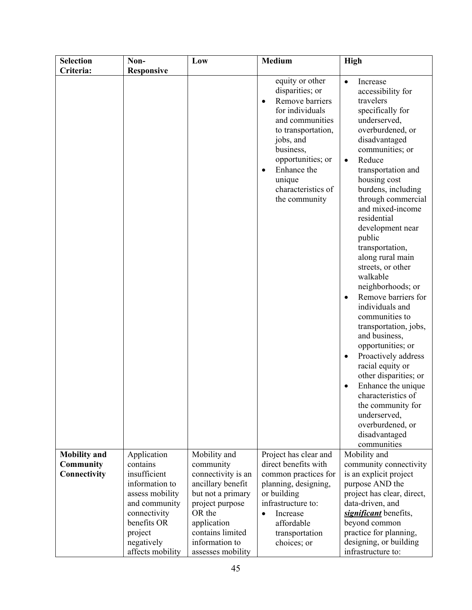| <b>Selection</b>                                        | Non-                                                                                                                                                  | Low                                                                                                                                                                         | <b>Medium</b>                                                                                                                                                                                                                                              | High                                                                                                                                                                                                                                                                                                                                                                                                                                                                                                                                                                                                                                                                                                                                            |
|---------------------------------------------------------|-------------------------------------------------------------------------------------------------------------------------------------------------------|-----------------------------------------------------------------------------------------------------------------------------------------------------------------------------|------------------------------------------------------------------------------------------------------------------------------------------------------------------------------------------------------------------------------------------------------------|-------------------------------------------------------------------------------------------------------------------------------------------------------------------------------------------------------------------------------------------------------------------------------------------------------------------------------------------------------------------------------------------------------------------------------------------------------------------------------------------------------------------------------------------------------------------------------------------------------------------------------------------------------------------------------------------------------------------------------------------------|
| Criteria:                                               | <b>Responsive</b>                                                                                                                                     |                                                                                                                                                                             |                                                                                                                                                                                                                                                            |                                                                                                                                                                                                                                                                                                                                                                                                                                                                                                                                                                                                                                                                                                                                                 |
|                                                         |                                                                                                                                                       |                                                                                                                                                                             | equity or other<br>disparities; or<br>Remove barriers<br>$\bullet$<br>for individuals<br>and communities<br>to transportation,<br>jobs, and<br>business,<br>opportunities; or<br>Enhance the<br>$\bullet$<br>unique<br>characteristics of<br>the community | Increase<br>$\bullet$<br>accessibility for<br>travelers<br>specifically for<br>underserved,<br>overburdened, or<br>disadvantaged<br>communities; or<br>Reduce<br>$\bullet$<br>transportation and<br>housing cost<br>burdens, including<br>through commercial<br>and mixed-income<br>residential<br>development near<br>public<br>transportation,<br>along rural main<br>streets, or other<br>walkable<br>neighborhoods; or<br>Remove barriers for<br>individuals and<br>communities to<br>transportation, jobs,<br>and business,<br>opportunities; or<br>Proactively address<br>racial equity or<br>other disparities; or<br>Enhance the unique<br>characteristics of<br>the community for<br>underserved,<br>overburdened, or<br>disadvantaged |
|                                                         |                                                                                                                                                       |                                                                                                                                                                             |                                                                                                                                                                                                                                                            | communities                                                                                                                                                                                                                                                                                                                                                                                                                                                                                                                                                                                                                                                                                                                                     |
| <b>Mobility</b> and<br><b>Community</b><br>Connectivity | Application<br>contains<br>insufficient<br>information to<br>assess mobility<br>and community<br>connectivity<br>benefits OR<br>project<br>negatively | Mobility and<br>community<br>connectivity is an<br>ancillary benefit<br>but not a primary<br>project purpose<br>OR the<br>application<br>contains limited<br>information to | Project has clear and<br>direct benefits with<br>common practices for<br>planning, designing,<br>or building<br>infrastructure to:<br>Increase<br>$\bullet$<br>affordable<br>transportation<br>choices; or                                                 | Mobility and<br>community connectivity<br>is an explicit project<br>purpose AND the<br>project has clear, direct,<br>data-driven, and<br>significant benefits,<br>beyond common<br>practice for planning,<br>designing, or building                                                                                                                                                                                                                                                                                                                                                                                                                                                                                                             |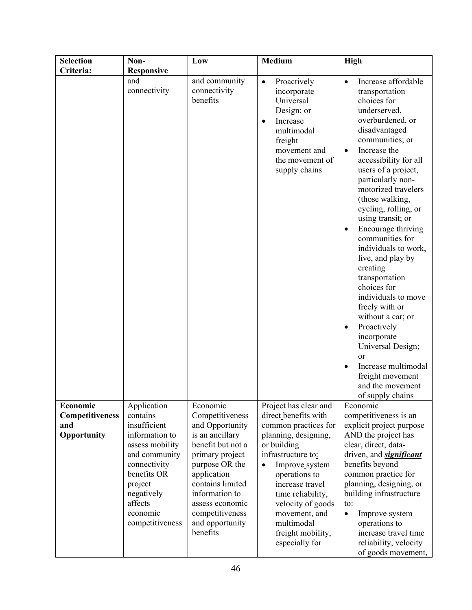| <b>Selection</b>   | Non-                                                                                                                               | Low                                                                                                                                                                              | <b>Medium</b>                                                                                                                                                                                                        | <b>High</b>                                                                                                                                                                                                                                                                                                                                                                                                                                                                                                                                                                                                                                                                                |
|--------------------|------------------------------------------------------------------------------------------------------------------------------------|----------------------------------------------------------------------------------------------------------------------------------------------------------------------------------|----------------------------------------------------------------------------------------------------------------------------------------------------------------------------------------------------------------------|--------------------------------------------------------------------------------------------------------------------------------------------------------------------------------------------------------------------------------------------------------------------------------------------------------------------------------------------------------------------------------------------------------------------------------------------------------------------------------------------------------------------------------------------------------------------------------------------------------------------------------------------------------------------------------------------|
| Criteria:          | <b>Responsive</b>                                                                                                                  |                                                                                                                                                                                  |                                                                                                                                                                                                                      |                                                                                                                                                                                                                                                                                                                                                                                                                                                                                                                                                                                                                                                                                            |
|                    | and<br>connectivity                                                                                                                | and community<br>connectivity<br>benefits                                                                                                                                        | Proactively<br>$\bullet$<br>incorporate<br>Universal<br>Design; or<br>Increase<br>$\bullet$<br>multimodal<br>freight<br>movement and<br>the movement of<br>supply chains                                             | Increase affordable<br>transportation<br>choices for<br>underserved,<br>overburdened, or<br>disadvantaged<br>communities; or<br>Increase the<br>$\bullet$<br>accessibility for all<br>users of a project,<br>particularly non-<br>motorized travelers<br>(those walking,<br>cycling, rolling, or<br>using transit; or<br>Encourage thriving<br>communities for<br>individuals to work,<br>live, and play by<br>creating<br>transportation<br>choices for<br>individuals to move<br>freely with or<br>without a car; or<br>Proactively<br>$\bullet$<br>incorporate<br>Universal Design;<br><sub>or</sub><br>Increase multimodal<br>freight movement<br>and the movement<br>of supply chains |
| Economic           | Application                                                                                                                        | Economic                                                                                                                                                                         | Project has clear and                                                                                                                                                                                                | Economic                                                                                                                                                                                                                                                                                                                                                                                                                                                                                                                                                                                                                                                                                   |
| Competitiveness    | contains                                                                                                                           | Competitiveness                                                                                                                                                                  | direct benefits with                                                                                                                                                                                                 | competitiveness is an                                                                                                                                                                                                                                                                                                                                                                                                                                                                                                                                                                                                                                                                      |
| and<br>Opportunity | insufficient<br>information to                                                                                                     | and Opportunity<br>is an ancillary                                                                                                                                               | common practices for<br>planning, designing,                                                                                                                                                                         | explicit project purpose<br>AND the project has                                                                                                                                                                                                                                                                                                                                                                                                                                                                                                                                                                                                                                            |
|                    | assess mobility<br>and community<br>connectivity<br>benefits OR<br>project<br>negatively<br>affects<br>economic<br>competitiveness | benefit but not a<br>primary project<br>purpose OR the<br>application<br>contains limited<br>information to<br>assess economic<br>competitiveness<br>and opportunity<br>benefits | or building<br>infrastructure to:<br>Improve_system<br>$\bullet$<br>operations to<br>increase travel<br>time reliability,<br>velocity of goods<br>movement, and<br>multimodal<br>freight mobility,<br>especially for | clear, direct, data-<br>driven, and <b>significant</b><br>benefits beyond<br>common practice for<br>planning, designing, or<br>building infrastructure<br>$\mathfrak{to}_{\mathfrak{L}}$<br>Improve system<br>$\bullet$<br>operations to<br>increase travel time<br>reliability, velocity<br>of goods movement,                                                                                                                                                                                                                                                                                                                                                                            |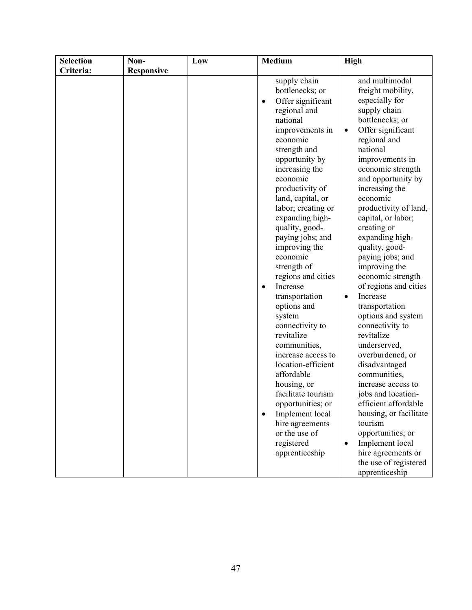| <b>Selection</b> | Non-              | Low | Medium                                                                                                                                                                                                                                                                                                                                                                                                                                                                                                                                                                                                                                                                                                                             | <b>High</b>                                                                                                                                                                                                                                                                                                                                                                                                                                                                                                                                                                                                                                                                                                                                                                                                                                    |
|------------------|-------------------|-----|------------------------------------------------------------------------------------------------------------------------------------------------------------------------------------------------------------------------------------------------------------------------------------------------------------------------------------------------------------------------------------------------------------------------------------------------------------------------------------------------------------------------------------------------------------------------------------------------------------------------------------------------------------------------------------------------------------------------------------|------------------------------------------------------------------------------------------------------------------------------------------------------------------------------------------------------------------------------------------------------------------------------------------------------------------------------------------------------------------------------------------------------------------------------------------------------------------------------------------------------------------------------------------------------------------------------------------------------------------------------------------------------------------------------------------------------------------------------------------------------------------------------------------------------------------------------------------------|
| Criteria:        | <b>Responsive</b> |     |                                                                                                                                                                                                                                                                                                                                                                                                                                                                                                                                                                                                                                                                                                                                    |                                                                                                                                                                                                                                                                                                                                                                                                                                                                                                                                                                                                                                                                                                                                                                                                                                                |
|                  |                   |     | supply chain<br>bottlenecks; or<br>Offer significant<br>$\bullet$<br>regional and<br>national<br>improvements in<br>economic<br>strength and<br>opportunity by<br>increasing the<br>economic<br>productivity of<br>land, capital, or<br>labor; creating or<br>expanding high-<br>quality, good-<br>paying jobs; and<br>improving the<br>economic<br>strength of<br>regions and cities<br>Increase<br>$\bullet$<br>transportation<br>options and<br>system<br>connectivity to<br>revitalize<br>communities,<br>increase access to<br>location-efficient<br>affordable<br>housing, or<br>facilitate tourism<br>opportunities; or<br>Implement local<br>$\bullet$<br>hire agreements<br>or the use of<br>registered<br>apprenticeship | and multimodal<br>freight mobility,<br>especially for<br>supply chain<br>bottlenecks; or<br>Offer significant<br>$\bullet$<br>regional and<br>national<br>improvements in<br>economic strength<br>and opportunity by<br>increasing the<br>economic<br>productivity of land,<br>capital, or labor;<br>creating or<br>expanding high-<br>quality, good-<br>paying jobs; and<br>improving the<br>economic strength<br>of regions and cities<br>Increase<br>$\bullet$<br>transportation<br>options and system<br>connectivity to<br>revitalize<br>underserved,<br>overburdened, or<br>disadvantaged<br>communities,<br>increase access to<br>jobs and location-<br>efficient affordable<br>housing, or facilitate<br>tourism<br>opportunities; or<br>Implement local<br>$\bullet$<br>hire agreements or<br>the use of registered<br>apprenticeship |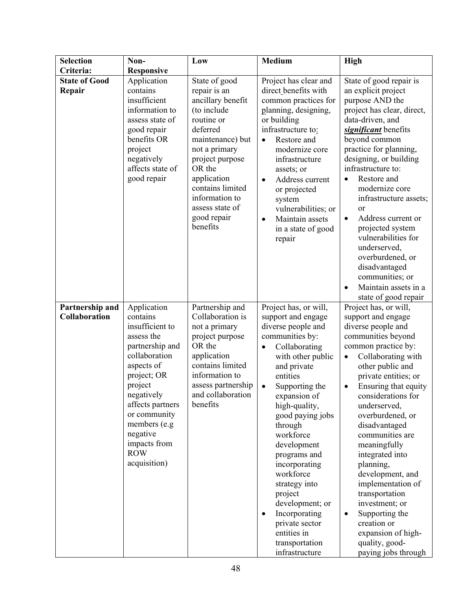| <b>Selection</b>                        | Non-                                                                                                                                                                                                                                                             | Low                                                                                                                                                                                                                                                              | <b>Medium</b>                                                                                                                                                                                                                                                                                                                                                                                                                                                                                 | High                                                                                                                                                                                                                                                                                                                                                                                                                                                                                                                                                               |
|-----------------------------------------|------------------------------------------------------------------------------------------------------------------------------------------------------------------------------------------------------------------------------------------------------------------|------------------------------------------------------------------------------------------------------------------------------------------------------------------------------------------------------------------------------------------------------------------|-----------------------------------------------------------------------------------------------------------------------------------------------------------------------------------------------------------------------------------------------------------------------------------------------------------------------------------------------------------------------------------------------------------------------------------------------------------------------------------------------|--------------------------------------------------------------------------------------------------------------------------------------------------------------------------------------------------------------------------------------------------------------------------------------------------------------------------------------------------------------------------------------------------------------------------------------------------------------------------------------------------------------------------------------------------------------------|
| Criteria:                               | <b>Responsive</b>                                                                                                                                                                                                                                                |                                                                                                                                                                                                                                                                  |                                                                                                                                                                                                                                                                                                                                                                                                                                                                                               |                                                                                                                                                                                                                                                                                                                                                                                                                                                                                                                                                                    |
| <b>State of Good</b><br>Repair          | Application<br>contains<br>insufficient<br>information to<br>assess state of<br>good repair<br>benefits OR<br>project<br>negatively<br>affects state of<br>good repair                                                                                           | State of good<br>repair is an<br>ancillary benefit<br>(to include<br>routine or<br>deferred<br>maintenance) but<br>not a primary<br>project purpose<br>OR the<br>application<br>contains limited<br>information to<br>assess state of<br>good repair<br>benefits | Project has clear and<br>direct benefits with<br>common practices for<br>planning, designing,<br>or building<br>infrastructure to:<br>Restore and<br>$\bullet$<br>modernize core<br>infrastructure<br>assets; or<br>Address current<br>$\bullet$<br>or projected<br>system<br>vulnerabilities; or<br>Maintain assets<br>$\bullet$<br>in a state of good<br>repair                                                                                                                             | State of good repair is<br>an explicit project<br>purpose AND the<br>project has clear, direct,<br>data-driven, and<br>significant benefits<br>beyond common<br>practice for planning,<br>designing, or building<br>infrastructure to:<br>Restore and<br>$\bullet$<br>modernize core<br>infrastructure assets;<br>or<br>Address current or<br>$\bullet$<br>projected system<br>vulnerabilities for<br>underserved,<br>overburdened, or<br>disadvantaged<br>communities; or<br>Maintain assets in a<br>$\bullet$<br>state of good repair                            |
| Partnership and<br><b>Collaboration</b> | Application<br>contains<br>insufficient to<br>assess the<br>partnership and<br>collaboration<br>aspects of<br>project; OR<br>project<br>negatively<br>affects partners<br>or community<br>members (e.g<br>negative<br>impacts from<br><b>ROW</b><br>acquisition) | Partnership and<br>Collaboration is<br>not a primary<br>project purpose<br>OR the<br>application<br>contains limited<br>information to<br>assess partnership<br>and collaboration<br>benefits                                                                    | Project has, or will,<br>support and engage<br>diverse people and<br>communities by:<br>Collaborating<br>$\bullet$<br>with other public<br>and private<br>entities<br>Supporting the<br>$\bullet$<br>expansion of<br>high-quality,<br>good paying jobs<br>through<br>workforce<br>development<br>programs and<br>incorporating<br>workforce<br>strategy into<br>project<br>development; or<br>Incorporating<br>$\bullet$<br>private sector<br>entities in<br>transportation<br>infrastructure | Project has, or will,<br>support and engage<br>diverse people and<br>communities beyond<br>common practice by:<br>Collaborating with<br>$\bullet$<br>other public and<br>private entities; or<br>Ensuring that equity<br>٠<br>considerations for<br>underserved,<br>overburdened, or<br>disadvantaged<br>communities are<br>meaningfully<br>integrated into<br>planning,<br>development, and<br>implementation of<br>transportation<br>investment; or<br>Supporting the<br>$\bullet$<br>creation or<br>expansion of high-<br>quality, good-<br>paying jobs through |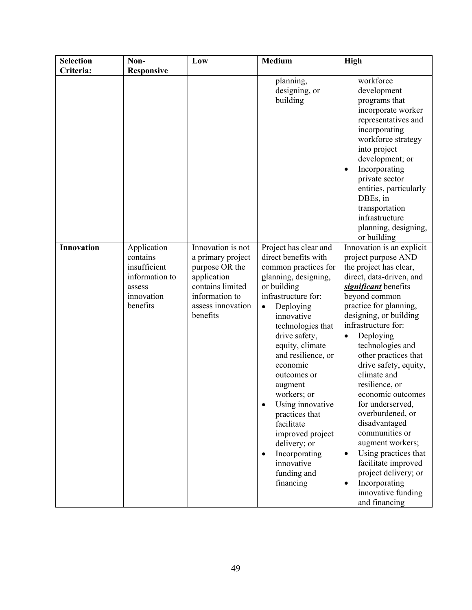| <b>Selection</b> | Non-                                                                                          | Low                                                                                                                                            | <b>Medium</b>                                                                                                                                                                                                                                                                                                                                                                                                                                                                   | High                                                                                                                                                                                                                                                                                                                                                                                                                                                                                                                                                                                                                       |
|------------------|-----------------------------------------------------------------------------------------------|------------------------------------------------------------------------------------------------------------------------------------------------|---------------------------------------------------------------------------------------------------------------------------------------------------------------------------------------------------------------------------------------------------------------------------------------------------------------------------------------------------------------------------------------------------------------------------------------------------------------------------------|----------------------------------------------------------------------------------------------------------------------------------------------------------------------------------------------------------------------------------------------------------------------------------------------------------------------------------------------------------------------------------------------------------------------------------------------------------------------------------------------------------------------------------------------------------------------------------------------------------------------------|
| Criteria:        | <b>Responsive</b>                                                                             |                                                                                                                                                |                                                                                                                                                                                                                                                                                                                                                                                                                                                                                 |                                                                                                                                                                                                                                                                                                                                                                                                                                                                                                                                                                                                                            |
|                  |                                                                                               |                                                                                                                                                | planning,<br>designing, or<br>building                                                                                                                                                                                                                                                                                                                                                                                                                                          | workforce<br>development<br>programs that<br>incorporate worker<br>representatives and<br>incorporating<br>workforce strategy<br>into project<br>development; or<br>Incorporating<br>٠<br>private sector<br>entities, particularly<br>DBEs, in<br>transportation<br>infrastructure<br>planning, designing,<br>or building                                                                                                                                                                                                                                                                                                  |
| Innovation       | Application<br>contains<br>insufficient<br>information to<br>assess<br>innovation<br>benefits | Innovation is not<br>a primary project<br>purpose OR the<br>application<br>contains limited<br>information to<br>assess innovation<br>benefits | Project has clear and<br>direct benefits with<br>common practices for<br>planning, designing,<br>or building<br>infrastructure for:<br>Deploying<br>$\bullet$<br>innovative<br>technologies that<br>drive safety,<br>equity, climate<br>and resilience, or<br>economic<br>outcomes or<br>augment<br>workers; or<br>Using innovative<br>practices that<br>facilitate<br>improved project<br>delivery; or<br>Incorporating<br>$\bullet$<br>innovative<br>funding and<br>financing | Innovation is an explicit<br>project purpose AND<br>the project has clear,<br>direct, data-driven, and<br>significant benefits<br>beyond common<br>practice for planning,<br>designing, or building<br>infrastructure for:<br>Deploying<br>technologies and<br>other practices that<br>drive safety, equity,<br>climate and<br>resilience, or<br>economic outcomes<br>for underserved,<br>overburdened, or<br>disadvantaged<br>communities or<br>augment workers;<br>Using practices that<br>$\bullet$<br>facilitate improved<br>project delivery; or<br>Incorporating<br>$\bullet$<br>innovative funding<br>and financing |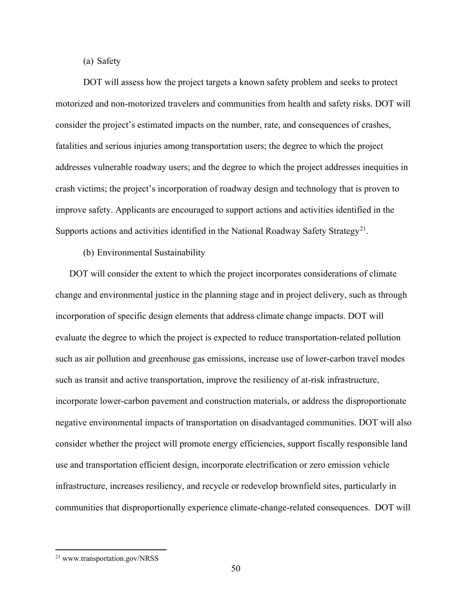(a) Safety

DOT will assess how the project targets a known safety problem and seeks to protect motorized and non-motorized travelers and communities from health and safety risks. DOT will consider the project's estimated impacts on the number, rate, and consequences of crashes, fatalities and serious injuries among transportation users; the degree to which the project addresses vulnerable roadway users; and the degree to which the project addresses inequities in crash victims; the project's incorporation of roadway design and technology that is proven to improve safety. Applicants are encouraged to support actions and activities identified in the Supports actions and activities identified in the National Roadway Safety Strategy<sup>[21](#page-49-0)</sup>.

(b) Environmental Sustainability

DOT will consider the extent to which the project incorporates considerations of climate change and environmental justice in the planning stage and in project delivery, such as through incorporation of specific design elements that address climate change impacts. DOT will evaluate the degree to which the project is expected to reduce transportation-related pollution such as air pollution and greenhouse gas emissions, increase use of lower-carbon travel modes such as transit and active transportation, improve the resiliency of at-risk infrastructure, incorporate lower-carbon pavement and construction materials, or address the disproportionate negative environmental impacts of transportation on disadvantaged communities. DOT will also consider whether the project will promote energy efficiencies, support fiscally responsible land use and transportation efficient design, incorporate electrification or zero emission vehicle infrastructure, increases resiliency, and recycle or redevelop brownfield sites, particularly in communities that disproportionally experience climate-change-related consequences. DOT will

<span id="page-49-0"></span><sup>21</sup> www.transportation.gov/NRSS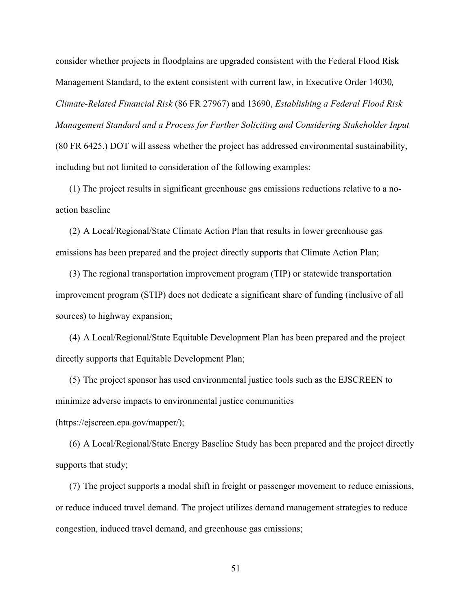consider whether projects in floodplains are upgraded consistent with the Federal Flood Risk Management Standard, to the extent consistent with current law, in Executive Order 14030*, Climate-Related Financial Risk* (86 FR 27967) and 13690, *Establishing a Federal Flood Risk Management Standard and a Process for Further Soliciting and Considering Stakeholder Input* (80 FR 6425.) DOT will assess whether the project has addressed environmental sustainability, including but not limited to consideration of the following examples:

(1) The project results in significant greenhouse gas emissions reductions relative to a noaction baseline

(2) A Local/Regional/State Climate Action Plan that results in lower greenhouse gas emissions has been prepared and the project directly supports that Climate Action Plan;

(3) The regional transportation improvement program (TIP) or statewide transportation improvement program (STIP) does not dedicate a significant share of funding (inclusive of all sources) to highway expansion;

(4) A Local/Regional/State Equitable Development Plan has been prepared and the project directly supports that Equitable Development Plan;

(5) The project sponsor has used environmental justice tools such as the EJSCREEN to minimize adverse impacts to environmental justice communities

(https://ejscreen.epa.gov/mapper/);

(6) A Local/Regional/State Energy Baseline Study has been prepared and the project directly supports that study;

(7) The project supports a modal shift in freight or passenger movement to reduce emissions, or reduce induced travel demand. The project utilizes demand management strategies to reduce congestion, induced travel demand, and greenhouse gas emissions;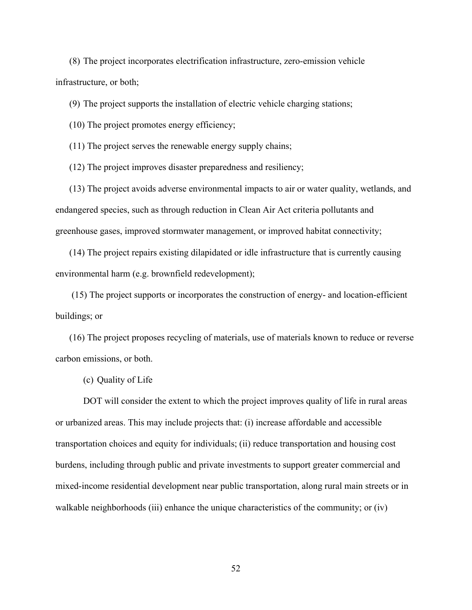(8) The project incorporates electrification infrastructure, zero-emission vehicle infrastructure, or both;

(9) The project supports the installation of electric vehicle charging stations;

(10) The project promotes energy efficiency;

(11) The project serves the renewable energy supply chains;

(12) The project improves disaster preparedness and resiliency;

(13) The project avoids adverse environmental impacts to air or water quality, wetlands, and endangered species, such as through reduction in Clean Air Act criteria pollutants and greenhouse gases, improved stormwater management, or improved habitat connectivity;

(14) The project repairs existing dilapidated or idle infrastructure that is currently causing environmental harm (e.g. brownfield redevelopment);

(15) The project supports or incorporates the construction of energy- and location-efficient buildings; or

(16) The project proposes recycling of materials, use of materials known to reduce or reverse carbon emissions, or both.

(c) Quality of Life

DOT will consider the extent to which the project improves quality of life in rural areas or urbanized areas. This may include projects that: (i) increase affordable and accessible transportation choices and equity for individuals; (ii) reduce transportation and housing cost burdens, including through public and private investments to support greater commercial and mixed-income residential development near public transportation, along rural main streets or in walkable neighborhoods (iii) enhance the unique characteristics of the community; or (iv)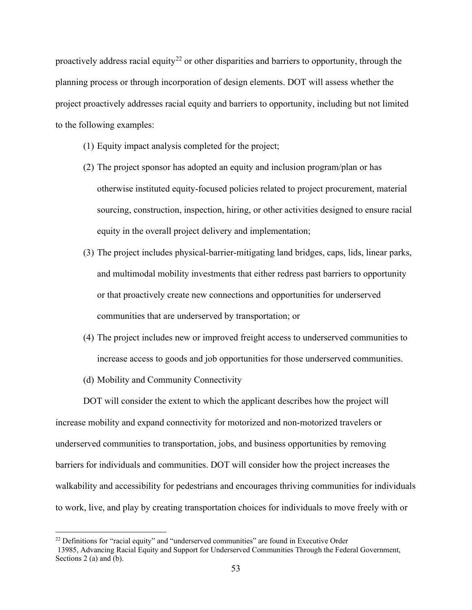proactively address racial equity<sup>[22](#page-52-0)</sup> or other disparities and barriers to opportunity, through the planning process or through incorporation of design elements. DOT will assess whether the project proactively addresses racial equity and barriers to opportunity, including but not limited to the following examples:

- (1) Equity impact analysis completed for the project;
- (2) The project sponsor has adopted an equity and inclusion program/plan or has otherwise instituted equity-focused policies related to project procurement, material sourcing, construction, inspection, hiring, or other activities designed to ensure racial equity in the overall project delivery and implementation;
- (3) The project includes physical-barrier-mitigating land bridges, caps, lids, linear parks, and multimodal mobility investments that either redress past barriers to opportunity or that proactively create new connections and opportunities for underserved communities that are underserved by transportation; or
- (4) The project includes new or improved freight access to underserved communities to increase access to goods and job opportunities for those underserved communities.
- (d) Mobility and Community Connectivity

DOT will consider the extent to which the applicant describes how the project will increase mobility and expand connectivity for motorized and non-motorized travelers or underserved communities to transportation, jobs, and business opportunities by removing barriers for individuals and communities. DOT will consider how the project increases the walkability and accessibility for pedestrians and encourages thriving communities for individuals to work, live, and play by creating transportation choices for individuals to move freely with or

<span id="page-52-0"></span> $22$  Definitions for "racial equity" and "underserved communities" are found in Executive Order

<sup>13985,</sup> Advancing Racial Equity and Support for Underserved Communities Through the Federal Government, Sections 2 (a) and (b).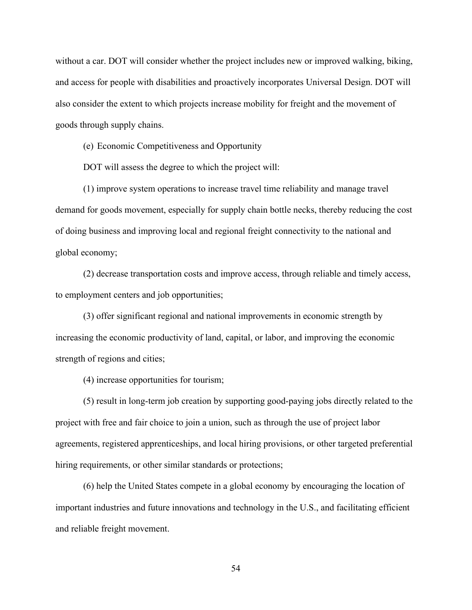without a car. DOT will consider whether the project includes new or improved walking, biking, and access for people with disabilities and proactively incorporates Universal Design. DOT will also consider the extent to which projects increase mobility for freight and the movement of goods through supply chains.

(e) Economic Competitiveness and Opportunity

DOT will assess the degree to which the project will:

(1) improve system operations to increase travel time reliability and manage travel demand for goods movement, especially for supply chain bottle necks, thereby reducing the cost of doing business and improving local and regional freight connectivity to the national and global economy;

(2) decrease transportation costs and improve access, through reliable and timely access, to employment centers and job opportunities;

(3) offer significant regional and national improvements in economic strength by increasing the economic productivity of land, capital, or labor, and improving the economic strength of regions and cities;

(4) increase opportunities for tourism;

(5) result in long-term job creation by supporting good-paying jobs directly related to the project with free and fair choice to join a union, such as through the use of project labor agreements, registered apprenticeships, and local hiring provisions, or other targeted preferential hiring requirements, or other similar standards or protections;

(6) help the United States compete in a global economy by encouraging the location of important industries and future innovations and technology in the U.S., and facilitating efficient and reliable freight movement.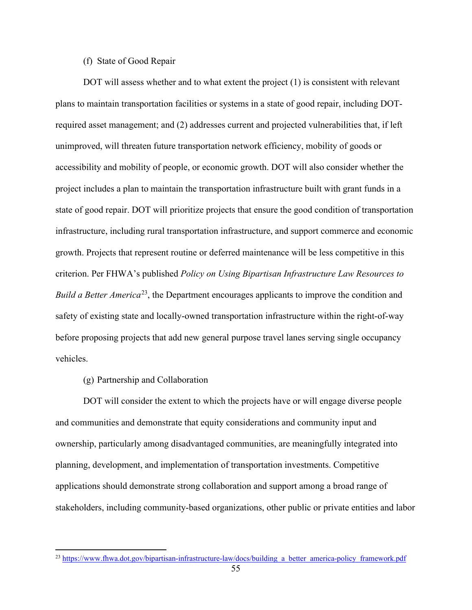# (f) State of Good Repair

DOT will assess whether and to what extent the project (1) is consistent with relevant plans to maintain transportation facilities or systems in a state of good repair, including DOTrequired asset management; and (2) addresses current and projected vulnerabilities that, if left unimproved, will threaten future transportation network efficiency, mobility of goods or accessibility and mobility of people, or economic growth. DOT will also consider whether the project includes a plan to maintain the transportation infrastructure built with grant funds in a state of good repair. DOT will prioritize projects that ensure the good condition of transportation infrastructure, including rural transportation infrastructure, and support commerce and economic growth. Projects that represent routine or deferred maintenance will be less competitive in this criterion. Per FHWA's published *Policy on Using Bipartisan Infrastructure Law Resources to Build a Better America*<sup>23</sup>, the Department encourages applicants to improve the condition and safety of existing state and locally-owned transportation infrastructure within the right-of-way before proposing projects that add new general purpose travel lanes serving single occupancy vehicles.

#### (g) Partnership and Collaboration

DOT will consider the extent to which the projects have or will engage diverse people and communities and demonstrate that equity considerations and community input and ownership, particularly among disadvantaged communities, are meaningfully integrated into planning, development, and implementation of transportation investments. Competitive applications should demonstrate strong collaboration and support among a broad range of stakeholders, including community-based organizations, other public or private entities and labor

<span id="page-54-0"></span><sup>&</sup>lt;sup>23</sup> [https://www.fhwa.dot.gov/bipartisan-infrastructure-law/docs/building\\_a\\_better\\_america-policy\\_framework.pdf](https://www.fhwa.dot.gov/bipartisan-infrastructure-law/docs/building_a_better_america-policy_framework.pdf)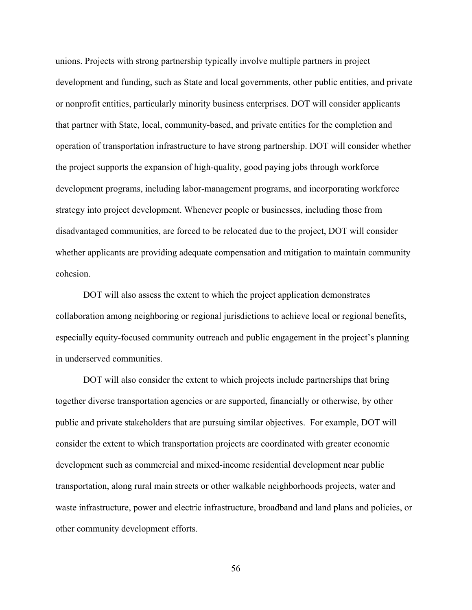unions. Projects with strong partnership typically involve multiple partners in project development and funding, such as State and local governments, other public entities, and private or nonprofit entities, particularly minority business enterprises. DOT will consider applicants that partner with State, local, community-based, and private entities for the completion and operation of transportation infrastructure to have strong partnership. DOT will consider whether the project supports the expansion of high-quality, good paying jobs through workforce development programs, including labor-management programs, and incorporating workforce strategy into project development. Whenever people or businesses, including those from disadvantaged communities, are forced to be relocated due to the project, DOT will consider whether applicants are providing adequate compensation and mitigation to maintain community cohesion.

DOT will also assess the extent to which the project application demonstrates collaboration among neighboring or regional jurisdictions to achieve local or regional benefits, especially equity-focused community outreach and public engagement in the project's planning in underserved communities.

DOT will also consider the extent to which projects include partnerships that bring together diverse transportation agencies or are supported, financially or otherwise, by other public and private stakeholders that are pursuing similar objectives. For example, DOT will consider the extent to which transportation projects are coordinated with greater economic development such as commercial and mixed-income residential development near public transportation, along rural main streets or other walkable neighborhoods projects, water and waste infrastructure, power and electric infrastructure, broadband and land plans and policies, or other community development efforts.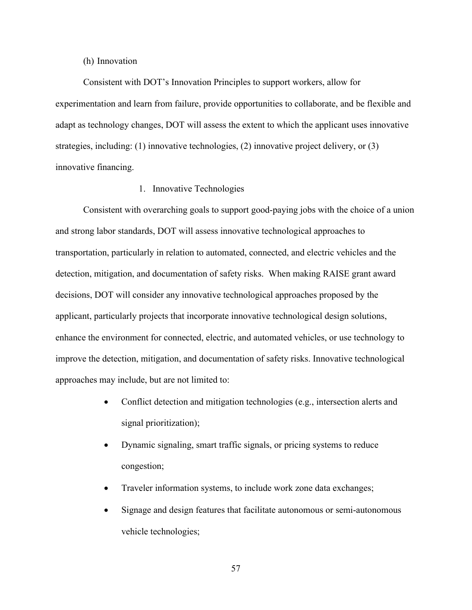#### (h) Innovation

Consistent with DOT's Innovation Principles to support workers, allow for experimentation and learn from failure, provide opportunities to collaborate, and be flexible and adapt as technology changes, DOT will assess the extent to which the applicant uses innovative strategies, including: (1) innovative technologies, (2) innovative project delivery, or (3) innovative financing.

# 1. Innovative Technologies

Consistent with overarching goals to support good-paying jobs with the choice of a union and strong labor standards, DOT will assess innovative technological approaches to transportation, particularly in relation to automated, connected, and electric vehicles and the detection, mitigation, and documentation of safety risks. When making RAISE grant award decisions, DOT will consider any innovative technological approaches proposed by the applicant, particularly projects that incorporate innovative technological design solutions, enhance the environment for connected, electric, and automated vehicles, or use technology to improve the detection, mitigation, and documentation of safety risks. Innovative technological approaches may include, but are not limited to:

- Conflict detection and mitigation technologies (e.g., intersection alerts and signal prioritization);
- Dynamic signaling, smart traffic signals, or pricing systems to reduce congestion;
- Traveler information systems, to include work zone data exchanges;
- Signage and design features that facilitate autonomous or semi-autonomous vehicle technologies;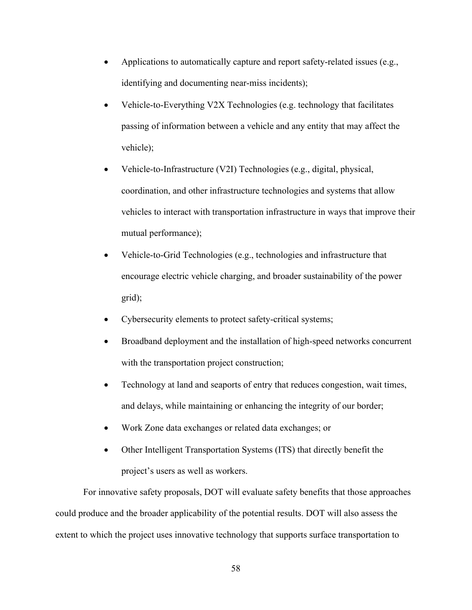- Applications to automatically capture and report safety-related issues (e.g., identifying and documenting near-miss incidents);
- Vehicle-to-Everything V2X Technologies (e.g. technology that facilitates passing of information between a vehicle and any entity that may affect the vehicle);
- Vehicle-to-Infrastructure (V2I) Technologies (e.g., digital, physical, coordination, and other infrastructure technologies and systems that allow vehicles to interact with transportation infrastructure in ways that improve their mutual performance);
- Vehicle-to-Grid Technologies (e.g., technologies and infrastructure that encourage electric vehicle charging, and broader sustainability of the power grid);
- Cybersecurity elements to protect safety-critical systems;
- Broadband deployment and the installation of high-speed networks concurrent with the transportation project construction;
- Technology at land and seaports of entry that reduces congestion, wait times, and delays, while maintaining or enhancing the integrity of our border;
- Work Zone data exchanges or related data exchanges; or
- Other Intelligent Transportation Systems (ITS) that directly benefit the project's users as well as workers.

For innovative safety proposals, DOT will evaluate safety benefits that those approaches could produce and the broader applicability of the potential results. DOT will also assess the extent to which the project uses innovative technology that supports surface transportation to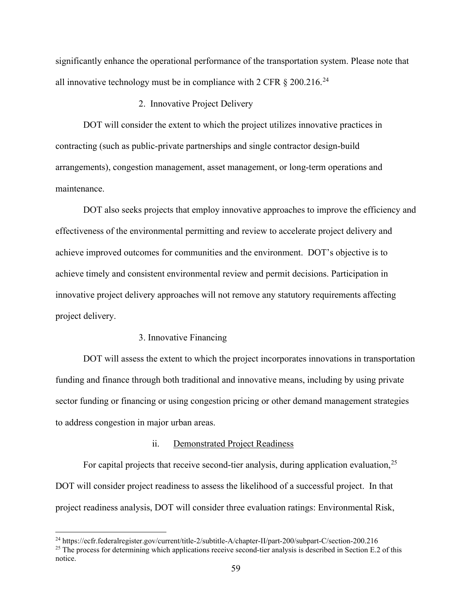significantly enhance the operational performance of the transportation system. Please note that all innovative technology must be in compliance with 2 CFR  $\S 200.216$ <sup>[24](#page-58-0)</sup>

# 2. Innovative Project Delivery

DOT will consider the extent to which the project utilizes innovative practices in contracting (such as public-private partnerships and single contractor design-build arrangements), congestion management, asset management, or long-term operations and maintenance.

DOT also seeks projects that employ innovative approaches to improve the efficiency and effectiveness of the environmental permitting and review to accelerate project delivery and achieve improved outcomes for communities and the environment. DOT's objective is to achieve timely and consistent environmental review and permit decisions. Participation in innovative project delivery approaches will not remove any statutory requirements affecting project delivery.

## 3. Innovative Financing

DOT will assess the extent to which the project incorporates innovations in transportation funding and finance through both traditional and innovative means, including by using private sector funding or financing or using congestion pricing or other demand management strategies to address congestion in major urban areas.

# ii. Demonstrated Project Readiness

For capital projects that receive second-tier analysis, during application evaluation,  $2^5$ DOT will consider project readiness to assess the likelihood of a successful project. In that project readiness analysis, DOT will consider three evaluation ratings: Environmental Risk,

<span id="page-58-0"></span><sup>24</sup> https://ecfr.federalregister.gov/current/title-2/subtitle-A/chapter-II/part-200/subpart-C/section-200.216

<span id="page-58-1"></span><sup>&</sup>lt;sup>25</sup> The process for determining which applications receive second-tier analysis is described in Section E.2 of this notice.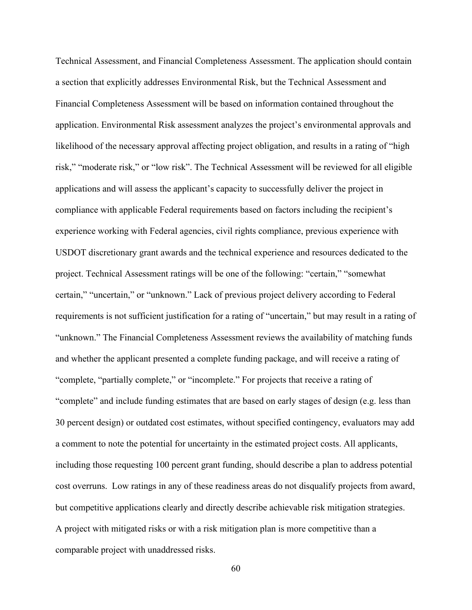Technical Assessment, and Financial Completeness Assessment. The application should contain a section that explicitly addresses Environmental Risk, but the Technical Assessment and Financial Completeness Assessment will be based on information contained throughout the application. Environmental Risk assessment analyzes the project's environmental approvals and likelihood of the necessary approval affecting project obligation, and results in a rating of "high risk," "moderate risk," or "low risk". The Technical Assessment will be reviewed for all eligible applications and will assess the applicant's capacity to successfully deliver the project in compliance with applicable Federal requirements based on factors including the recipient's experience working with Federal agencies, civil rights compliance, previous experience with USDOT discretionary grant awards and the technical experience and resources dedicated to the project. Technical Assessment ratings will be one of the following: "certain," "somewhat certain," "uncertain," or "unknown." Lack of previous project delivery according to Federal requirements is not sufficient justification for a rating of "uncertain," but may result in a rating of "unknown." The Financial Completeness Assessment reviews the availability of matching funds and whether the applicant presented a complete funding package, and will receive a rating of "complete, "partially complete," or "incomplete." For projects that receive a rating of "complete" and include funding estimates that are based on early stages of design (e.g. less than 30 percent design) or outdated cost estimates, without specified contingency, evaluators may add a comment to note the potential for uncertainty in the estimated project costs. All applicants, including those requesting 100 percent grant funding, should describe a plan to address potential cost overruns. Low ratings in any of these readiness areas do not disqualify projects from award, but competitive applications clearly and directly describe achievable risk mitigation strategies. A project with mitigated risks or with a risk mitigation plan is more competitive than a comparable project with unaddressed risks.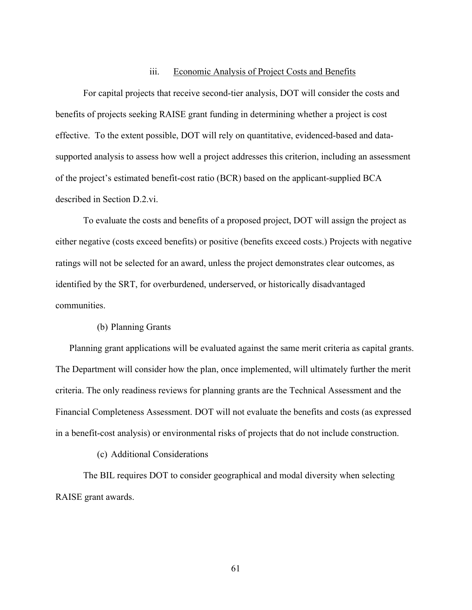## iii. Economic Analysis of Project Costs and Benefits

For capital projects that receive second-tier analysis, DOT will consider the costs and benefits of projects seeking RAISE grant funding in determining whether a project is cost effective. To the extent possible, DOT will rely on quantitative, evidenced-based and datasupported analysis to assess how well a project addresses this criterion, including an assessment of the project's estimated benefit-cost ratio (BCR) based on the applicant-supplied BCA described in Section D.2.vi.

To evaluate the costs and benefits of a proposed project, DOT will assign the project as either negative (costs exceed benefits) or positive (benefits exceed costs.) Projects with negative ratings will not be selected for an award, unless the project demonstrates clear outcomes, as identified by the SRT, for overburdened, underserved, or historically disadvantaged communities.

## (b) Planning Grants

Planning grant applications will be evaluated against the same merit criteria as capital grants. The Department will consider how the plan, once implemented, will ultimately further the merit criteria. The only readiness reviews for planning grants are the Technical Assessment and the Financial Completeness Assessment. DOT will not evaluate the benefits and costs (as expressed in a benefit-cost analysis) or environmental risks of projects that do not include construction.

# (c) Additional Considerations

The BIL requires DOT to consider geographical and modal diversity when selecting RAISE grant awards.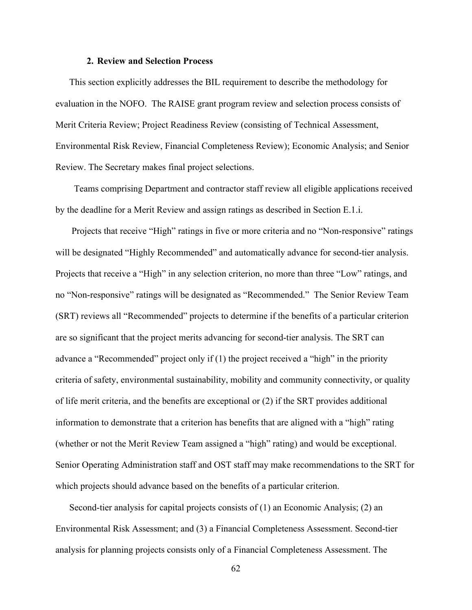### **2. Review and Selection Process**

<span id="page-61-0"></span>This section explicitly addresses the BIL requirement to describe the methodology for evaluation in the NOFO. The RAISE grant program review and selection process consists of Merit Criteria Review; Project Readiness Review (consisting of Technical Assessment, Environmental Risk Review, Financial Completeness Review); Economic Analysis; and Senior Review. The Secretary makes final project selections.

 Teams comprising Department and contractor staff review all eligible applications received by the deadline for a Merit Review and assign ratings as described in Section E.1.i.

Projects that receive "High" ratings in five or more criteria and no "Non-responsive" ratings will be designated "Highly Recommended" and automatically advance for second-tier analysis. Projects that receive a "High" in any selection criterion, no more than three "Low" ratings, and no "Non-responsive" ratings will be designated as "Recommended." The Senior Review Team (SRT) reviews all "Recommended" projects to determine if the benefits of a particular criterion are so significant that the project merits advancing for second-tier analysis. The SRT can advance a "Recommended" project only if (1) the project received a "high" in the priority criteria of safety, environmental sustainability, mobility and community connectivity, or quality of life merit criteria, and the benefits are exceptional or (2) if the SRT provides additional information to demonstrate that a criterion has benefits that are aligned with a "high" rating (whether or not the Merit Review Team assigned a "high" rating) and would be exceptional. Senior Operating Administration staff and OST staff may make recommendations to the SRT for which projects should advance based on the benefits of a particular criterion.

Second-tier analysis for capital projects consists of (1) an Economic Analysis; (2) an Environmental Risk Assessment; and (3) a Financial Completeness Assessment. Second-tier analysis for planning projects consists only of a Financial Completeness Assessment. The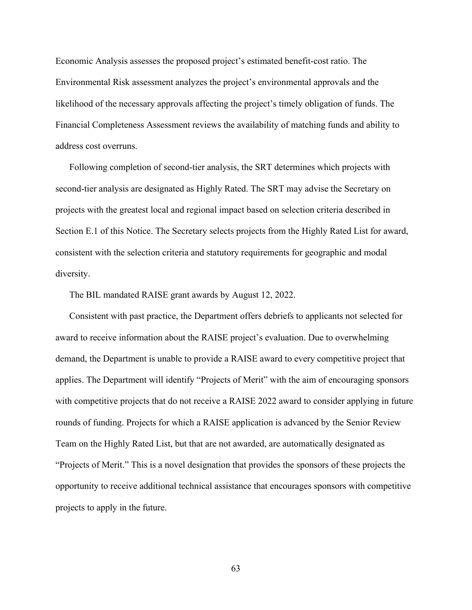Economic Analysis assesses the proposed project's estimated benefit-cost ratio. The Environmental Risk assessment analyzes the project's environmental approvals and the likelihood of the necessary approvals affecting the project's timely obligation of funds. The Financial Completeness Assessment reviews the availability of matching funds and ability to address cost overruns.

Following completion of second-tier analysis, the SRT determines which projects with second-tier analysis are designated as Highly Rated. The SRT may advise the Secretary on projects with the greatest local and regional impact based on selection criteria described in Section E.1 of this Notice. The Secretary selects projects from the Highly Rated List for award, consistent with the selection criteria and statutory requirements for geographic and modal diversity.

The BIL mandated RAISE grant awards by August 12, 2022.

Consistent with past practice, the Department offers debriefs to applicants not selected for award to receive information about the RAISE project's evaluation. Due to overwhelming demand, the Department is unable to provide a RAISE award to every competitive project that applies. The Department will identify "Projects of Merit" with the aim of encouraging sponsors with competitive projects that do not receive a RAISE 2022 award to consider applying in future rounds of funding. Projects for which a RAISE application is advanced by the Senior Review Team on the Highly Rated List, but that are not awarded, are automatically designated as "Projects of Merit." This is a novel designation that provides the sponsors of these projects the opportunity to receive additional technical assistance that encourages sponsors with competitive projects to apply in the future.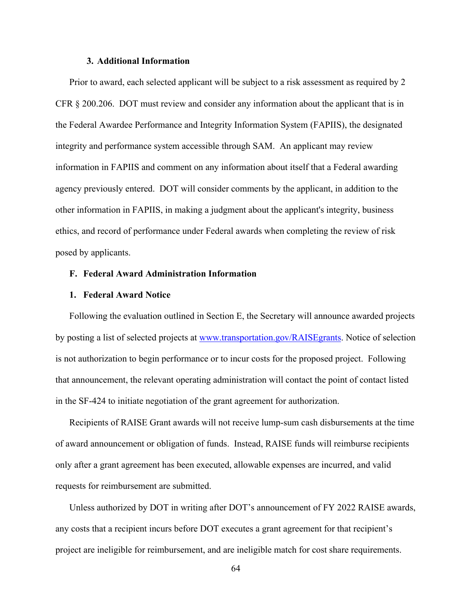## **3. Additional Information**

Prior to award, each selected applicant will be subject to a risk assessment as required by 2 CFR § 200.206. DOT must review and consider any information about the applicant that is in the Federal Awardee Performance and Integrity Information System (FAPIIS), the designated integrity and performance system accessible through SAM. An applicant may review information in FAPIIS and comment on any information about itself that a Federal awarding agency previously entered. DOT will consider comments by the applicant, in addition to the other information in FAPIIS, in making a judgment about the applicant's integrity, business ethics, and record of performance under Federal awards when completing the review of risk posed by applicants.

# **F. Federal Award Administration Information**

## **1. Federal Award Notice**

Following the evaluation outlined in [Section E,](#page-40-0) the Secretary will announce awarded projects by posting a list of selected projects at [www.transportation.gov/RAISEgrants.](http://www.transportation.gov/BUILDgrants) Notice of selection is not authorization to begin performance or to incur costs for the proposed project. Following that announcement, the relevant operating administration will contact the point of contact listed in the SF-424 to initiate negotiation of the grant agreement for authorization.

Recipients of RAISE Grant awards will not receive lump-sum cash disbursements at the time of award announcement or obligation of funds. Instead, RAISE funds will reimburse recipients only after a grant agreement has been executed, allowable expenses are incurred, and valid requests for reimbursement are submitted.

Unless authorized by DOT in writing after DOT's announcement of FY 2022 RAISE awards, any costs that a recipient incurs before DOT executes a grant agreement for that recipient's project are ineligible for reimbursement, and are ineligible match for cost share requirements.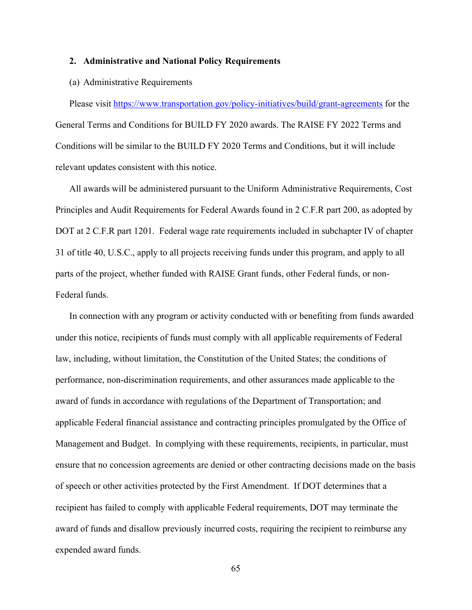#### **2. Administrative and National Policy Requirements**

## (a) Administrative Requirements

Please visit<https://www.transportation.gov/policy-initiatives/build/grant-agreements> for the General Terms and Conditions for BUILD FY 2020 awards. The RAISE FY 2022 Terms and Conditions will be similar to the BUILD FY 2020 Terms and Conditions, but it will include relevant updates consistent with this notice.

All awards will be administered pursuant to the Uniform Administrative Requirements, Cost Principles and Audit Requirements for Federal Awards found in 2 C.F.R part 200, as adopted by DOT at 2 C.F.R part 1201. Federal wage rate requirements included in subchapter IV of chapter 31 of title 40, U.S.C., apply to all projects receiving funds under this program, and apply to all parts of the project, whether funded with RAISE Grant funds, other Federal funds, or non-Federal funds.

In connection with any program or activity conducted with or benefiting from funds awarded under this notice, recipients of funds must comply with all applicable requirements of Federal law, including, without limitation, the Constitution of the United States; the conditions of performance, non-discrimination requirements, and other assurances made applicable to the award of funds in accordance with regulations of the Department of Transportation; and applicable Federal financial assistance and contracting principles promulgated by the Office of Management and Budget. In complying with these requirements, recipients, in particular, must ensure that no concession agreements are denied or other contracting decisions made on the basis of speech or other activities protected by the First Amendment. If DOT determines that a recipient has failed to comply with applicable Federal requirements, DOT may terminate the award of funds and disallow previously incurred costs, requiring the recipient to reimburse any expended award funds.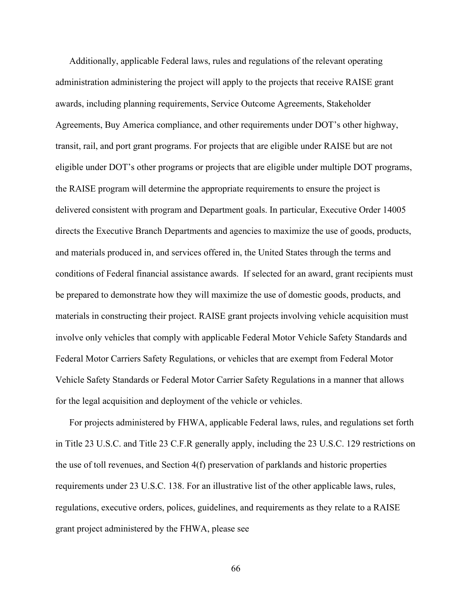Additionally, applicable Federal laws, rules and regulations of the relevant operating administration administering the project will apply to the projects that receive RAISE grant awards, including planning requirements, Service Outcome Agreements, Stakeholder Agreements, Buy America compliance, and other requirements under DOT's other highway, transit, rail, and port grant programs. For projects that are eligible under RAISE but are not eligible under DOT's other programs or projects that are eligible under multiple DOT programs, the RAISE program will determine the appropriate requirements to ensure the project is delivered consistent with program and Department goals. In particular, Executive Order 14005 directs the Executive Branch Departments and agencies to maximize the use of goods, products, and materials produced in, and services offered in, the United States through the terms and conditions of Federal financial assistance awards. If selected for an award, grant recipients must be prepared to demonstrate how they will maximize the use of domestic goods, products, and materials in constructing their project. RAISE grant projects involving vehicle acquisition must involve only vehicles that comply with applicable Federal Motor Vehicle Safety Standards and Federal Motor Carriers Safety Regulations, or vehicles that are exempt from Federal Motor Vehicle Safety Standards or Federal Motor Carrier Safety Regulations in a manner that allows for the legal acquisition and deployment of the vehicle or vehicles.

For projects administered by FHWA, applicable Federal laws, rules, and regulations set forth in Title 23 U.S.C. and Title 23 C.F.R generally apply, including the 23 U.S.C. 129 restrictions on the use of toll revenues, and Section 4(f) preservation of parklands and historic properties requirements under 23 U.S.C. 138. For an illustrative list of the other applicable laws, rules, regulations, executive orders, polices, guidelines, and requirements as they relate to a RAISE grant project administered by the FHWA, please see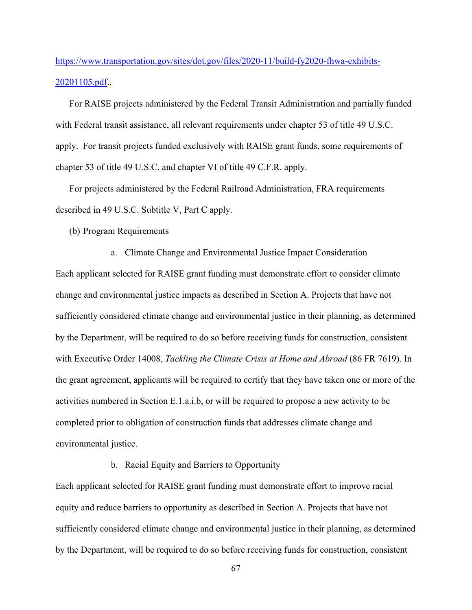[https://www.transportation.gov/sites/dot.gov/files/2020-11/build-fy2020-fhwa-exhibits-](https://www.transportation.gov/sites/dot.gov/files/2020-11/build-fy2020-fhwa-exhibits-20201105.pdf)[20201105.pdf.](https://www.transportation.gov/sites/dot.gov/files/2020-11/build-fy2020-fhwa-exhibits-20201105.pdf).

For RAISE projects administered by the Federal Transit Administration and partially funded with Federal transit assistance, all relevant requirements under chapter 53 of title 49 U.S.C. apply. For transit projects funded exclusively with RAISE grant funds, some requirements of chapter 53 of title 49 U.S.C. and chapter VI of title 49 C.F.R. apply.

For projects administered by the Federal Railroad Administration, FRA requirements described in 49 U.S.C. Subtitle V, Part C apply.

(b) Program Requirements

a. Climate Change and Environmental Justice Impact Consideration Each applicant selected for RAISE grant funding must demonstrate effort to consider climate change and environmental justice impacts as described in Section A. Projects that have not sufficiently considered climate change and environmental justice in their planning, as determined by the Department, will be required to do so before receiving funds for construction, consistent with Executive Order 14008, *Tackling the Climate Crisis at Home and Abroad* (86 FR 7619). In the grant agreement, applicants will be required to certify that they have taken one or more of the activities numbered in Section E.1.a.i.b, or will be required to propose a new activity to be completed prior to obligation of construction funds that addresses climate change and environmental justice.

b. Racial Equity and Barriers to Opportunity

Each applicant selected for RAISE grant funding must demonstrate effort to improve racial equity and reduce barriers to opportunity as described in Section A. Projects that have not sufficiently considered climate change and environmental justice in their planning, as determined by the Department, will be required to do so before receiving funds for construction, consistent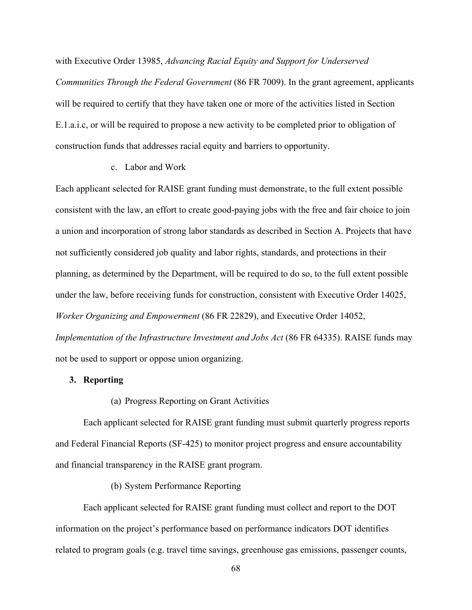with Executive Order 13985, *Advancing Racial Equity and Support for Underserved* 

*Communities Through the Federal Government* (86 FR 7009). In the grant agreement, applicants will be required to certify that they have taken one or more of the activities listed in Section E.1.a.i.c, or will be required to propose a new activity to be completed prior to obligation of construction funds that addresses racial equity and barriers to opportunity.

## c. Labor and Work

Each applicant selected for RAISE grant funding must demonstrate, to the full extent possible consistent with the law, an effort to create good-paying jobs with the free and fair choice to join a union and incorporation of strong labor standards as described in Section A. Projects that have not sufficiently considered job quality and labor rights, standards, and protections in their planning, as determined by the Department, will be required to do so, to the full extent possible under the law, before receiving funds for construction, consistent with Executive Order 14025, *Worker Organizing and Empowerment* (86 FR 22829), and Executive Order 14052, *Implementation of the Infrastructure Investment and Jobs Act* (86 FR 64335). RAISE funds may not be used to support or oppose union organizing.

# **3. Reporting**

## (a) Progress Reporting on Grant Activities

Each applicant selected for RAISE grant funding must submit quarterly progress reports and Federal Financial Reports (SF-425) to monitor project progress and ensure accountability and financial transparency in the RAISE grant program.

## (b) System Performance Reporting

Each applicant selected for RAISE grant funding must collect and report to the DOT information on the project's performance based on performance indicators DOT identifies related to program goals (e.g. travel time savings, greenhouse gas emissions, passenger counts,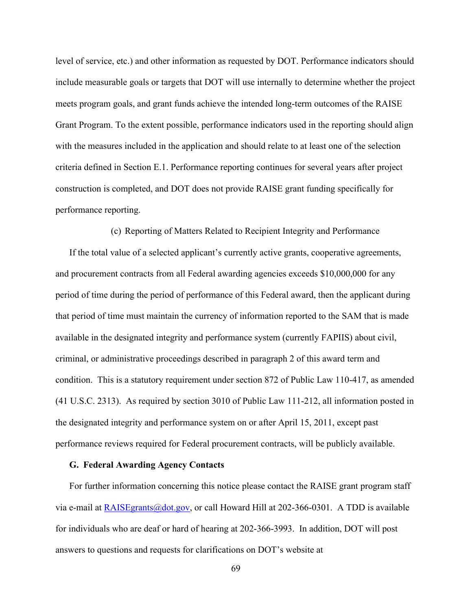level of service, etc.) and other information as requested by DOT. Performance indicators should include measurable goals or targets that DOT will use internally to determine whether the project meets program goals, and grant funds achieve the intended long-term outcomes of the RAISE Grant Program. To the extent possible, performance indicators used in the reporting should align with the measures included in the application and should relate to at least one of the selection criteria defined in Section E.1. Performance reporting continues for several years after project construction is completed, and DOT does not provide RAISE grant funding specifically for performance reporting.

(c) Reporting of Matters Related to Recipient Integrity and Performance

If the total value of a selected applicant's currently active grants, cooperative agreements, and procurement contracts from all Federal awarding agencies exceeds \$10,000,000 for any period of time during the period of performance of this Federal award, then the applicant during that period of time must maintain the currency of information reported to the SAM that is made available in the designated integrity and performance system (currently FAPIIS) about civil, criminal, or administrative proceedings described in paragraph 2 of this award term and condition. This is a statutory requirement under section 872 of Public Law 110-417, as amended (41 U.S.C. 2313). As required by section 3010 of Public Law 111-212, all information posted in the designated integrity and performance system on or after April 15, 2011, except past performance reviews required for Federal procurement contracts, will be publicly available.

#### **G. Federal Awarding Agency Contacts**

For further information concerning this notice please contact the RAISE grant program staff via e-mail at  $\frac{RAISEgrants(\omega dot.gov)}{Aof}$ , or call Howard Hill at 202-366-0301. A TDD is available for individuals who are deaf or hard of hearing at 202-366-3993. In addition, DOT will post answers to questions and requests for clarifications on DOT's website at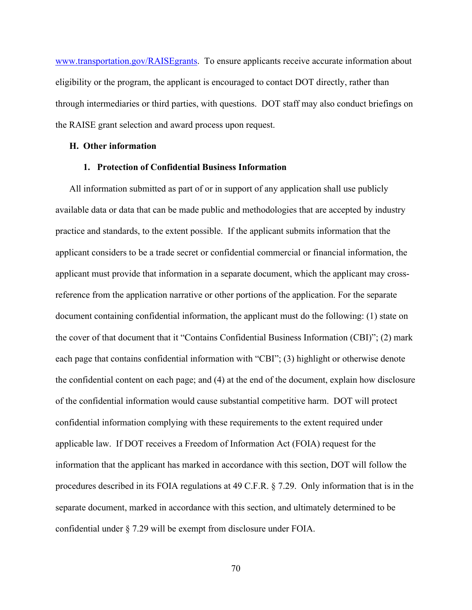[www.transportation.gov/RAISEgrants.](http://www.transportation.gov/BUILDgrants) To ensure applicants receive accurate information about eligibility or the program, the applicant is encouraged to contact DOT directly, rather than through intermediaries or third parties, with questions. DOT staff may also conduct briefings on the RAISE grant selection and award process upon request.

## **H. Other information**

## **1. Protection of Confidential Business Information**

All information submitted as part of or in support of any application shall use publicly available data or data that can be made public and methodologies that are accepted by industry practice and standards, to the extent possible. If the applicant submits information that the applicant considers to be a trade secret or confidential commercial or financial information, the applicant must provide that information in a separate document, which the applicant may crossreference from the application narrative or other portions of the application. For the separate document containing confidential information, the applicant must do the following: (1) state on the cover of that document that it "Contains Confidential Business Information (CBI)"; (2) mark each page that contains confidential information with "CBI"; (3) highlight or otherwise denote the confidential content on each page; and (4) at the end of the document, explain how disclosure of the confidential information would cause substantial competitive harm. DOT will protect confidential information complying with these requirements to the extent required under applicable law. If DOT receives a Freedom of Information Act (FOIA) request for the information that the applicant has marked in accordance with this section, DOT will follow the procedures described in its FOIA regulations at 49 C.F.R. § 7.29. Only information that is in the separate document, marked in accordance with this section, and ultimately determined to be confidential under § 7.29 will be exempt from disclosure under FOIA.